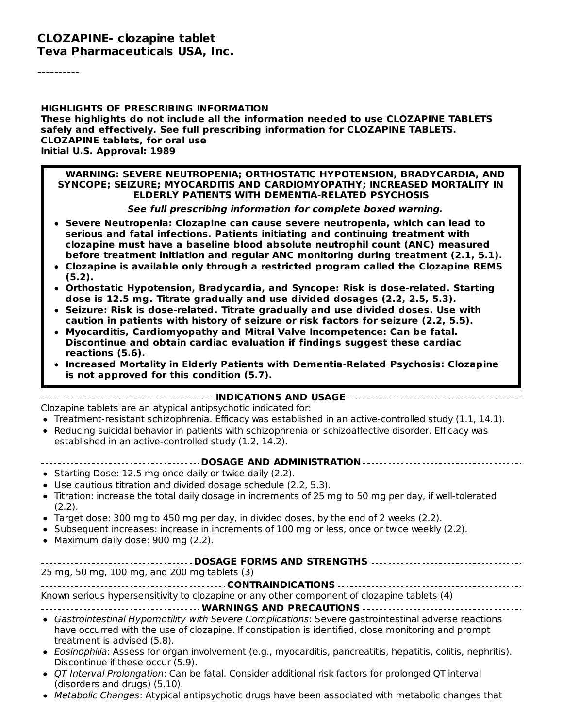#### **CLOZAPINE- clozapine tablet Teva Pharmaceuticals USA, Inc.**

----------

#### **HIGHLIGHTS OF PRESCRIBING INFORMATION These highlights do not include all the information needed to use CLOZAPINE TABLETS safely and effectively. See full prescribing information for CLOZAPINE TABLETS. CLOZAPINE tablets, for oral use Initial U.S. Approval: 1989**

#### **WARNING: SEVERE NEUTROPENIA; ORTHOSTATIC HYPOTENSION, BRADYCARDIA, AND SYNCOPE; SEIZURE; MYOCARDITIS AND CARDIOMYOPATHY; INCREASED MORTALITY IN ELDERLY PATIENTS WITH DEMENTIA-RELATED PSYCHOSIS**

**See full prescribing information for complete boxed warning.**

- **Severe Neutropenia: Clozapine can cause severe neutropenia, which can lead to serious and fatal infections. Patients initiating and continuing treatment with clozapine must have a baseline blood absolute neutrophil count (ANC) measured before treatment initiation and regular ANC monitoring during treatment (2.1, 5.1).**
- **Clozapine is available only through a restricted program called the Clozapine REMS (5.2).**
- **Orthostatic Hypotension, Bradycardia, and Syncope: Risk is dose-related. Starting dose is 12.5 mg. Titrate gradually and use divided dosages (2.2, 2.5, 5.3).**
- **Seizure: Risk is dose-related. Titrate gradually and use divided doses. Use with caution in patients with history of seizure or risk factors for seizure (2.2, 5.5).**
- **Myocarditis, Cardiomyopathy and Mitral Valve Incompetence: Can be fatal. Discontinue and obtain cardiac evaluation if findings suggest these cardiac reactions (5.6).**
- **Increased Mortality in Elderly Patients with Dementia-Related Psychosis: Clozapine is not approved for this condition (5.7).**
	- **INDICATIONS AND USAGE**

Clozapine tablets are an atypical antipsychotic indicated for:

- Treatment-resistant schizophrenia. Efficacy was established in an active-controlled study (1.1, 14.1).
- Reducing suicidal behavior in patients with schizophrenia or schizoaffective disorder. Efficacy was established in an active-controlled study (1.2, 14.2).
	- **DOSAGE AND ADMINISTRATION**
- Starting Dose: 12.5 mg once daily or twice daily (2.2).
- Use cautious titration and divided dosage schedule (2.2, 5.3).
- Titration: increase the total daily dosage in increments of 25 mg to 50 mg per day, if well-tolerated  $(2.2)$ .
- Target dose: 300 mg to 450 mg per day, in divided doses, by the end of 2 weeks (2.2).
- Subsequent increases: increase in increments of 100 mg or less, once or twice weekly (2.2).
- $\bullet$  Maximum daily dose: 900 mg (2.2).

| 25 mg, 50 mg, 100 mg, and 200 mg tablets (3)                                                                                                                                                                                               |
|--------------------------------------------------------------------------------------------------------------------------------------------------------------------------------------------------------------------------------------------|
|                                                                                                                                                                                                                                            |
| Known serious hypersensitivity to clozapine or any other component of clozapine tablets (4)                                                                                                                                                |
|                                                                                                                                                                                                                                            |
| • Gastrointestinal Hypomotility with Severe Complications: Severe gastrointestinal adverse reactions<br>have occurred with the use of clozapine. If constipation is identified, close monitoring and prompt<br>treatment is advised (5.8). |

- Eosinophilia: Assess for organ involvement (e.g., myocarditis, pancreatitis, hepatitis, colitis, nephritis). Discontinue if these occur (5.9).
- OT Interval Prolongation: Can be fatal. Consider additional risk factors for prolonged QT interval (disorders and drugs) (5.10).
- Metabolic Changes: Atypical antipsychotic drugs have been associated with metabolic changes that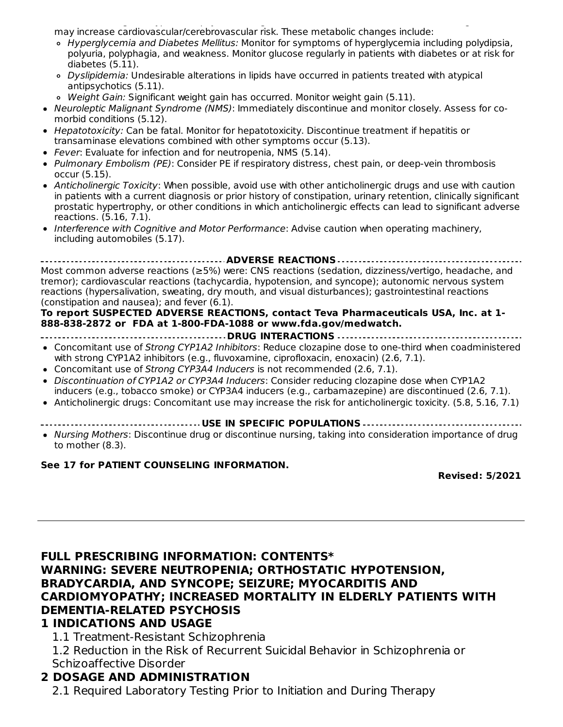Metabolic Changes: Atypical antipsychotic drugs have been associated with metabolic changes that may increase cardiovascular/cerebrovascular risk. These metabolic changes include:

- o Hyperglycemia and Diabetes Mellitus: Monitor for symptoms of hyperglycemia including polydipsia, polyuria, polyphagia, and weakness. Monitor glucose regularly in patients with diabetes or at risk for diabetes (5.11).
- o Dyslipidemia: Undesirable alterations in lipids have occurred in patients treated with atypical antipsychotics (5.11).
- o Weight Gain: Significant weight gain has occurred. Monitor weight gain (5.11).
- Neuroleptic Malignant Syndrome (NMS): Immediately discontinue and monitor closely. Assess for comorbid conditions (5.12).
- Hepatotoxicity: Can be fatal. Monitor for hepatotoxicity. Discontinue treatment if hepatitis or transaminase elevations combined with other symptoms occur (5.13).
- Fever: Evaluate for infection and for neutropenia, NMS (5.14).
- Pulmonary Embolism (PE): Consider PE if respiratory distress, chest pain, or deep-vein thrombosis occur (5.15).
- Anticholinergic Toxicity: When possible, avoid use with other anticholinergic drugs and use with caution in patients with a current diagnosis or prior history of constipation, urinary retention, clinically significant prostatic hypertrophy, or other conditions in which anticholinergic effects can lead to significant adverse reactions. (5.16, 7.1).
- Interference with Cognitive and Motor Performance: Advise caution when operating machinery, including automobiles (5.17).

**ADVERSE REACTIONS** Most common adverse reactions (≥5%) were: CNS reactions (sedation, dizziness/vertigo, headache, and tremor); cardiovascular reactions (tachycardia, hypotension, and syncope); autonomic nervous system reactions (hypersalivation, sweating, dry mouth, and visual disturbances); gastrointestinal reactions (constipation and nausea); and fever (6.1).

#### **To report SUSPECTED ADVERSE REACTIONS, contact Teva Pharmaceuticals USA, Inc. at 1- 888-838-2872 or FDA at 1-800-FDA-1088 or www.fda.gov/medwatch.**

- **DRUG INTERACTIONS**
- Concomitant use of Strong CYP1A2 Inhibitors: Reduce clozapine dose to one-third when coadministered with strong CYP1A2 inhibitors (e.g., fluvoxamine, ciprofloxacin, enoxacin) (2.6, 7.1).
- Concomitant use of *Strong CYP3A4 Inducers* is not recommended (2.6, 7.1).
- Discontinuation of CYP1A2 or CYP3A4 Inducers: Consider reducing clozapine dose when CYP1A2 inducers (e.g., tobacco smoke) or CYP3A4 inducers (e.g., carbamazepine) are discontinued (2.6, 7.1).
- Anticholinergic drugs: Concomitant use may increase the risk for anticholinergic toxicity. (5.8, 5.16, 7.1)
- **USE IN SPECIFIC POPULATIONS**
- Nursing Mothers: Discontinue drug or discontinue nursing, taking into consideration importance of drug to mother (8.3).

#### **See 17 for PATIENT COUNSELING INFORMATION.**

**Revised: 5/2021**

#### **FULL PRESCRIBING INFORMATION: CONTENTS\* WARNING: SEVERE NEUTROPENIA; ORTHOSTATIC HYPOTENSION, BRADYCARDIA, AND SYNCOPE; SEIZURE; MYOCARDITIS AND CARDIOMYOPATHY; INCREASED MORTALITY IN ELDERLY PATIENTS WITH DEMENTIA-RELATED PSYCHOSIS**

#### **1 INDICATIONS AND USAGE**

1.1 Treatment-Resistant Schizophrenia

1.2 Reduction in the Risk of Recurrent Suicidal Behavior in Schizophrenia or Schizoaffective Disorder

### **2 DOSAGE AND ADMINISTRATION**

2.1 Required Laboratory Testing Prior to Initiation and During Therapy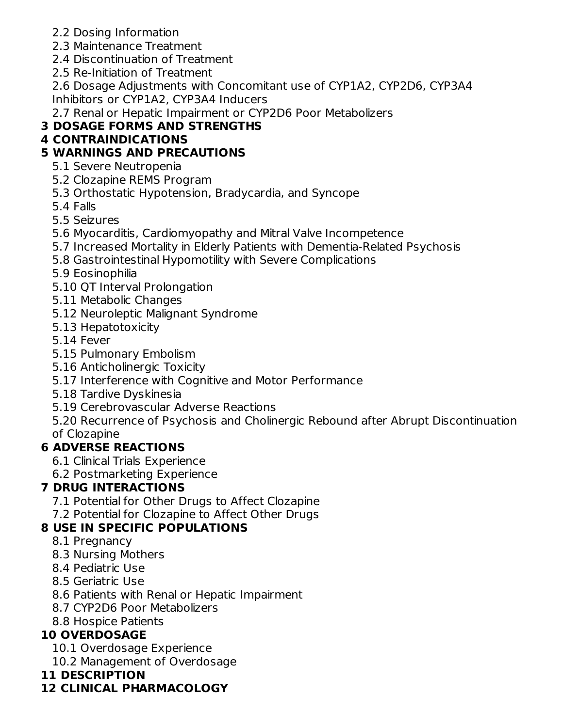- 2.2 Dosing Information
- 2.3 Maintenance Treatment
- 2.4 Discontinuation of Treatment
- 2.5 Re-Initiation of Treatment

2.6 Dosage Adjustments with Concomitant use of CYP1A2, CYP2D6, CYP3A4 Inhibitors or CYP1A2, CYP3A4 Inducers

2.7 Renal or Hepatic Impairment or CYP2D6 Poor Metabolizers

## **3 DOSAGE FORMS AND STRENGTHS**

## **4 CONTRAINDICATIONS**

## **5 WARNINGS AND PRECAUTIONS**

- 5.1 Severe Neutropenia
- 5.2 Clozapine REMS Program
- 5.3 Orthostatic Hypotension, Bradycardia, and Syncope
- 5.4 Falls
- 5.5 Seizures
- 5.6 Myocarditis, Cardiomyopathy and Mitral Valve Incompetence
- 5.7 Increased Mortality in Elderly Patients with Dementia-Related Psychosis
- 5.8 Gastrointestinal Hypomotility with Severe Complications
- 5.9 Eosinophilia
- 5.10 QT Interval Prolongation
- 5.11 Metabolic Changes
- 5.12 Neuroleptic Malignant Syndrome
- 5.13 Hepatotoxicity
- 5.14 Fever
- 5.15 Pulmonary Embolism
- 5.16 Anticholinergic Toxicity
- 5.17 Interference with Cognitive and Motor Performance
- 5.18 Tardive Dyskinesia
- 5.19 Cerebrovascular Adverse Reactions
- 5.20 Recurrence of Psychosis and Cholinergic Rebound after Abrupt Discontinuation of Clozapine

## **6 ADVERSE REACTIONS**

- 6.1 Clinical Trials Experience
- 6.2 Postmarketing Experience

## **7 DRUG INTERACTIONS**

- 7.1 Potential for Other Drugs to Affect Clozapine
- 7.2 Potential for Clozapine to Affect Other Drugs

## **8 USE IN SPECIFIC POPULATIONS**

- 8.1 Pregnancy
- 8.3 Nursing Mothers
- 8.4 Pediatric Use
- 8.5 Geriatric Use
- 8.6 Patients with Renal or Hepatic Impairment
- 8.7 CYP2D6 Poor Metabolizers

## 8.8 Hospice Patients

## **10 OVERDOSAGE**

- 10.1 Overdosage Experience
- 10.2 Management of Overdosage

## **11 DESCRIPTION**

## **12 CLINICAL PHARMACOLOGY**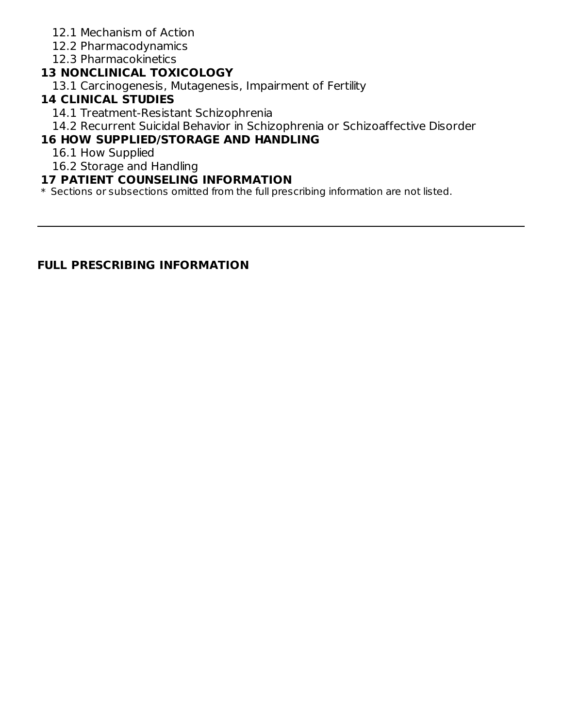- 12.1 Mechanism of Action
- 12.2 Pharmacodynamics
- 12.3 Pharmacokinetics

### **13 NONCLINICAL TOXICOLOGY**

13.1 Carcinogenesis, Mutagenesis, Impairment of Fertility

### **14 CLINICAL STUDIES**

14.1 Treatment-Resistant Schizophrenia

14.2 Recurrent Suicidal Behavior in Schizophrenia or Schizoaffective Disorder

### **16 HOW SUPPLIED/STORAGE AND HANDLING**

- 16.1 How Supplied
- 16.2 Storage and Handling

### **17 PATIENT COUNSELING INFORMATION**

\* Sections or subsections omitted from the full prescribing information are not listed.

### **FULL PRESCRIBING INFORMATION**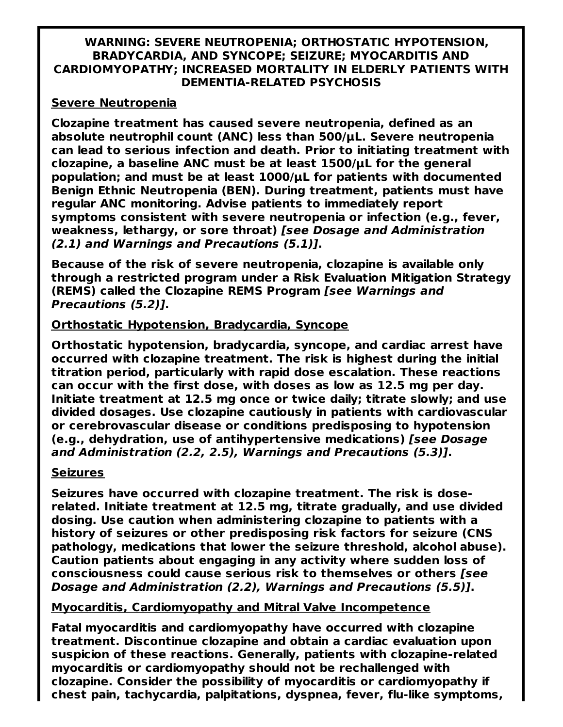#### **WARNING: SEVERE NEUTROPENIA; ORTHOSTATIC HYPOTENSION, BRADYCARDIA, AND SYNCOPE; SEIZURE; MYOCARDITIS AND CARDIOMYOPATHY; INCREASED MORTALITY IN ELDERLY PATIENTS WITH DEMENTIA-RELATED PSYCHOSIS**

#### **Severe Neutropenia**

**Clozapine treatment has caused severe neutropenia, defined as an absolute neutrophil count (ANC) less than 500/μL. Severe neutropenia can lead to serious infection and death. Prior to initiating treatment with clozapine, a baseline ANC must be at least 1500/μL for the general population; and must be at least 1000/μL for patients with documented Benign Ethnic Neutropenia (BEN). During treatment, patients must have regular ANC monitoring. Advise patients to immediately report symptoms consistent with severe neutropenia or infection (e.g., fever, weakness, lethargy, or sore throat) [see Dosage and Administration (2.1) and Warnings and Precautions (5.1)].**

**Because of the risk of severe neutropenia, clozapine is available only through a restricted program under a Risk Evaluation Mitigation Strategy (REMS) called the Clozapine REMS Program [see Warnings and Precautions (5.2)].**

### **Orthostatic Hypotension, Bradycardia, Syncope**

**Orthostatic hypotension, bradycardia, syncope, and cardiac arrest have occurred with clozapine treatment. The risk is highest during the initial titration period, particularly with rapid dose escalation. These reactions can occur with the first dose, with doses as low as 12.5 mg per day. Initiate treatment at 12.5 mg once or twice daily; titrate slowly; and use divided dosages. Use clozapine cautiously in patients with cardiovascular or cerebrovascular disease or conditions predisposing to hypotension (e.g., dehydration, use of antihypertensive medications) [see Dosage and Administration (2.2, 2.5), Warnings and Precautions (5.3)].**

### **Seizures**

**Seizures have occurred with clozapine treatment. The risk is doserelated. Initiate treatment at 12.5 mg, titrate gradually, and use divided dosing. Use caution when administering clozapine to patients with a history of seizures or other predisposing risk factors for seizure (CNS pathology, medications that lower the seizure threshold, alcohol abuse). Caution patients about engaging in any activity where sudden loss of consciousness could cause serious risk to themselves or others [see Dosage and Administration (2.2), Warnings and Precautions (5.5)].**

### **Myocarditis, Cardiomyopathy and Mitral Valve Incompetence**

**Fatal myocarditis and cardiomyopathy have occurred with clozapine treatment. Discontinue clozapine and obtain a cardiac evaluation upon suspicion of these reactions. Generally, patients with clozapine-related myocarditis or cardiomyopathy should not be rechallenged with clozapine. Consider the possibility of myocarditis or cardiomyopathy if chest pain, tachycardia, palpitations, dyspnea, fever, flu-like symptoms,**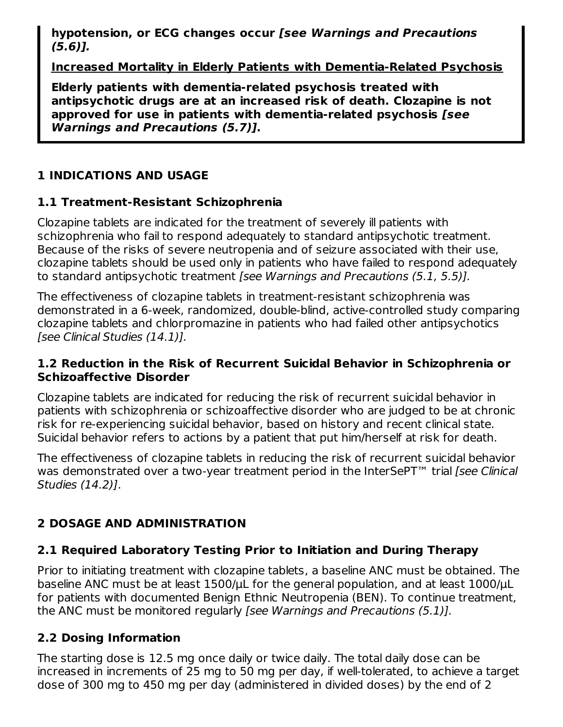**hypotension, or ECG changes occur [see Warnings and Precautions (5.6)].**

**Increased Mortality in Elderly Patients with Dementia-Related Psychosis**

**Elderly patients with dementia-related psychosis treated with antipsychotic drugs are at an increased risk of death. Clozapine is not approved for use in patients with dementia-related psychosis [see Warnings and Precautions (5.7)].**

## **1 INDICATIONS AND USAGE**

### **1.1 Treatment-Resistant Schizophrenia**

Clozapine tablets are indicated for the treatment of severely ill patients with schizophrenia who fail to respond adequately to standard antipsychotic treatment. Because of the risks of severe neutropenia and of seizure associated with their use, clozapine tablets should be used only in patients who have failed to respond adequately to standard antipsychotic treatment [see Warnings and Precautions (5.1, 5.5)].

The effectiveness of clozapine tablets in treatment-resistant schizophrenia was demonstrated in a 6-week, randomized, double-blind, active-controlled study comparing clozapine tablets and chlorpromazine in patients who had failed other antipsychotics [see Clinical Studies (14.1)].

### **1.2 Reduction in the Risk of Recurrent Suicidal Behavior in Schizophrenia or Schizoaffective Disorder**

Clozapine tablets are indicated for reducing the risk of recurrent suicidal behavior in patients with schizophrenia or schizoaffective disorder who are judged to be at chronic risk for re-experiencing suicidal behavior, based on history and recent clinical state. Suicidal behavior refers to actions by a patient that put him/herself at risk for death.

The effectiveness of clozapine tablets in reducing the risk of recurrent suicidal behavior was demonstrated over a two-year treatment period in the InterSePT<sup>™</sup> trial [see Clinical Studies (14.2)].

## **2 DOSAGE AND ADMINISTRATION**

## **2.1 Required Laboratory Testing Prior to Initiation and During Therapy**

Prior to initiating treatment with clozapine tablets, a baseline ANC must be obtained. The baseline ANC must be at least 1500/μL for the general population, and at least 1000/μL for patients with documented Benign Ethnic Neutropenia (BEN). To continue treatment, the ANC must be monitored regularly [see Warnings and Precautions (5.1)].

## **2.2 Dosing Information**

The starting dose is 12.5 mg once daily or twice daily. The total daily dose can be increased in increments of 25 mg to 50 mg per day, if well-tolerated, to achieve a target dose of 300 mg to 450 mg per day (administered in divided doses) by the end of 2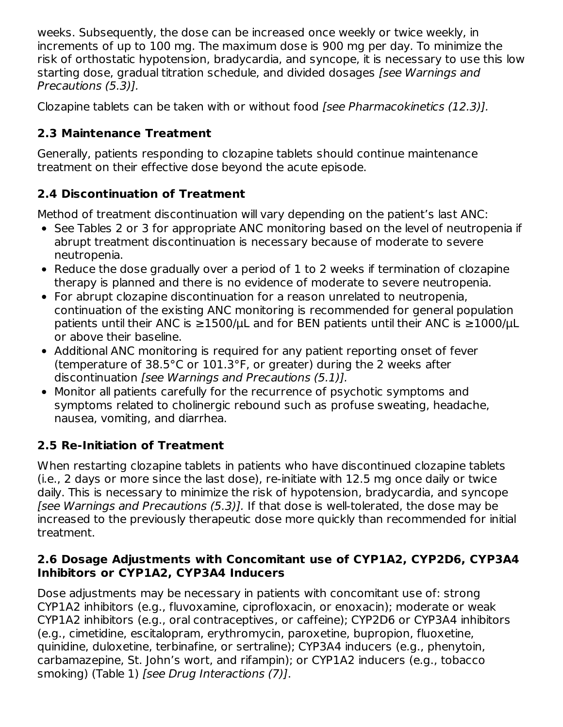weeks. Subsequently, the dose can be increased once weekly or twice weekly, in increments of up to 100 mg. The maximum dose is 900 mg per day. To minimize the risk of orthostatic hypotension, bradycardia, and syncope, it is necessary to use this low starting dose, gradual titration schedule, and divided dosages *[see Warnings and* Precautions (5.3)].

Clozapine tablets can be taken with or without food [see Pharmacokinetics (12.3)].

## **2.3 Maintenance Treatment**

Generally, patients responding to clozapine tablets should continue maintenance treatment on their effective dose beyond the acute episode.

## **2.4 Discontinuation of Treatment**

Method of treatment discontinuation will vary depending on the patient's last ANC:

- See Tables 2 or 3 for appropriate ANC monitoring based on the level of neutropenia if abrupt treatment discontinuation is necessary because of moderate to severe neutropenia.
- Reduce the dose gradually over a period of 1 to 2 weeks if termination of clozapine therapy is planned and there is no evidence of moderate to severe neutropenia.
- For abrupt clozapine discontinuation for a reason unrelated to neutropenia, continuation of the existing ANC monitoring is recommended for general population patients until their ANC is ≥1500/μL and for BEN patients until their ANC is ≥1000/μL or above their baseline.
- Additional ANC monitoring is required for any patient reporting onset of fever (temperature of 38.5°C or 101.3°F, or greater) during the 2 weeks after discontinuation [see Warnings and Precautions (5.1)].
- Monitor all patients carefully for the recurrence of psychotic symptoms and symptoms related to cholinergic rebound such as profuse sweating, headache, nausea, vomiting, and diarrhea.

## **2.5 Re-Initiation of Treatment**

When restarting clozapine tablets in patients who have discontinued clozapine tablets (i.e., 2 days or more since the last dose), re-initiate with 12.5 mg once daily or twice daily. This is necessary to minimize the risk of hypotension, bradycardia, and syncope [see Warnings and Precautions (5.3)]. If that dose is well-tolerated, the dose may be increased to the previously therapeutic dose more quickly than recommended for initial treatment.

### **2.6 Dosage Adjustments with Concomitant use of CYP1A2, CYP2D6, CYP3A4 Inhibitors or CYP1A2, CYP3A4 Inducers**

Dose adjustments may be necessary in patients with concomitant use of: strong CYP1A2 inhibitors (e.g., fluvoxamine, ciprofloxacin, or enoxacin); moderate or weak CYP1A2 inhibitors (e.g., oral contraceptives, or caffeine); CYP2D6 or CYP3A4 inhibitors (e.g., cimetidine, escitalopram, erythromycin, paroxetine, bupropion, fluoxetine, quinidine, duloxetine, terbinafine, or sertraline); CYP3A4 inducers (e.g., phenytoin, carbamazepine, St. John's wort, and rifampin); or CYP1A2 inducers (e.g., tobacco smoking) (Table 1) [see Drug Interactions (7)].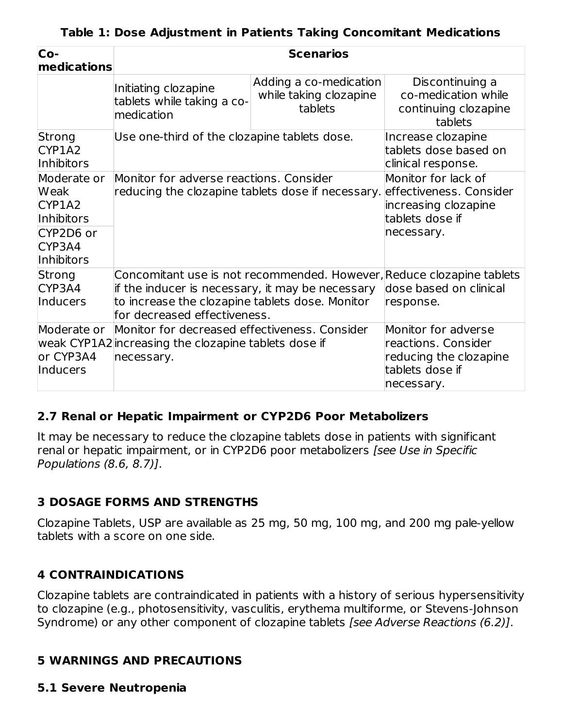|  | Table 1: Dose Adjustment in Patients Taking Concomitant Medications |
|--|---------------------------------------------------------------------|
|--|---------------------------------------------------------------------|

| Co-<br>medications                                                               | <b>Scenarios</b>                                                                                                                    |                                                                                                         |                                                                                                              |  |  |
|----------------------------------------------------------------------------------|-------------------------------------------------------------------------------------------------------------------------------------|---------------------------------------------------------------------------------------------------------|--------------------------------------------------------------------------------------------------------------|--|--|
|                                                                                  | Initiating clozapine<br>tablets while taking a co-<br>medication                                                                    | Adding a co-medication<br>while taking clozapine<br>tablets                                             | Discontinuing a<br>co-medication while<br>continuing clozapine<br>tablets                                    |  |  |
| Strong<br>CYP1A2<br>Inhibitors                                                   | Use one-third of the clozapine tablets dose.                                                                                        |                                                                                                         | Increase clozapine<br>tablets dose based on<br>clinical response.                                            |  |  |
| Moderate or<br>Weak<br>CYP1A2<br>Inhibitors<br>CYP2D6 or<br>CYP3A4<br>Inhibitors | Monitor for adverse reactions. Consider<br>reducing the clozapine tablets dose if necessary.                                        | Monitor for lack of<br>effectiveness. Consider<br>increasing clozapine<br>tablets dose if<br>necessary. |                                                                                                              |  |  |
| Strong<br>CYP3A4<br><b>Inducers</b>                                              | If the inducer is necessary, it may be necessary<br>to increase the clozapine tablets dose. Monitor<br>for decreased effectiveness. |                                                                                                         | Concomitant use is not recommended. However, Reduce clozapine tablets<br>dose based on clinical<br>response. |  |  |
| Moderate or<br>or CYP3A4<br>Inducers                                             | Monitor for decreased effectiveness. Consider<br>weak CYP1A2 increasing the clozapine tablets dose if<br>necessary.                 |                                                                                                         | Monitor for adverse<br>reactions. Consider<br>reducing the clozapine<br>tablets dose if<br>necessary.        |  |  |

### **2.7 Renal or Hepatic Impairment or CYP2D6 Poor Metabolizers**

It may be necessary to reduce the clozapine tablets dose in patients with significant renal or hepatic impairment, or in CYP2D6 poor metabolizers [see Use in Specific Populations (8.6, 8.7)].

### **3 DOSAGE FORMS AND STRENGTHS**

Clozapine Tablets, USP are available as 25 mg, 50 mg, 100 mg, and 200 mg pale-yellow tablets with a score on one side.

### **4 CONTRAINDICATIONS**

Clozapine tablets are contraindicated in patients with a history of serious hypersensitivity to clozapine (e.g., photosensitivity, vasculitis, erythema multiforme, or Stevens-Johnson Syndrome) or any other component of clozapine tablets [see Adverse Reactions (6.2)].

### **5 WARNINGS AND PRECAUTIONS**

### **5.1 Severe Neutropenia**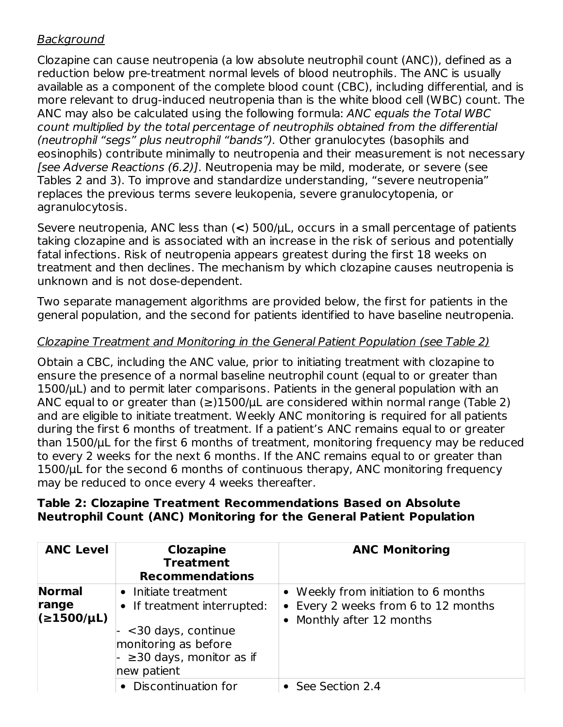## Background

Clozapine can cause neutropenia (a low absolute neutrophil count (ANC)), defined as a reduction below pre-treatment normal levels of blood neutrophils. The ANC is usually available as a component of the complete blood count (CBC), including differential, and is more relevant to drug-induced neutropenia than is the white blood cell (WBC) count. The ANC may also be calculated using the following formula: ANC equals the Total WBC count multiplied by the total percentage of neutrophils obtained from the differential (neutrophil "segs" plus neutrophil "bands"). Other granulocytes (basophils and eosinophils) contribute minimally to neutropenia and their measurement is not necessary [see Adverse Reactions (6.2)]. Neutropenia may be mild, moderate, or severe (see Tables 2 and 3). To improve and standardize understanding, "severe neutropenia" replaces the previous terms severe leukopenia, severe granulocytopenia, or agranulocytosis.

Severe neutropenia, ANC less than (**<**) 500/μL, occurs in a small percentage of patients taking clozapine and is associated with an increase in the risk of serious and potentially fatal infections. Risk of neutropenia appears greatest during the first 18 weeks on treatment and then declines. The mechanism by which clozapine causes neutropenia is unknown and is not dose-dependent.

Two separate management algorithms are provided below, the first for patients in the general population, and the second for patients identified to have baseline neutropenia.

### Clozapine Treatment and Monitoring in the General Patient Population (see Table 2)

Obtain a CBC, including the ANC value, prior to initiating treatment with clozapine to ensure the presence of a normal baseline neutrophil count (equal to or greater than 1500/μL) and to permit later comparisons. Patients in the general population with an ANC equal to or greater than  $(\ge)$ 1500/ $\mu$ L are considered within normal range (Table 2) and are eligible to initiate treatment. Weekly ANC monitoring is required for all patients during the first 6 months of treatment. If a patient's ANC remains equal to or greater than 1500/μL for the first 6 months of treatment, monitoring frequency may be reduced to every 2 weeks for the next 6 months. If the ANC remains equal to or greater than 1500/μL for the second 6 months of continuous therapy, ANC monitoring frequency may be reduced to once every 4 weeks thereafter.

### **Table 2: Clozapine Treatment Recommendations Based on Absolute Neutrophil Count (ANC) Monitoring for the General Patient Population**

| <b>ANC Level</b>                   | <b>Clozapine</b><br><b>Treatment</b><br><b>Recommendations</b>                                                                                    | <b>ANC Monitoring</b>                                                                                    |
|------------------------------------|---------------------------------------------------------------------------------------------------------------------------------------------------|----------------------------------------------------------------------------------------------------------|
| Normal<br>range<br>$(21500/\mu L)$ | • Initiate treatment<br>• If treatment interrupted:<br><30 days, continue<br>monitoring as before<br>$\geq$ 30 days, monitor as if<br>new patient | • Weekly from initiation to 6 months<br>• Every 2 weeks from 6 to 12 months<br>• Monthly after 12 months |
|                                    | • Discontinuation for                                                                                                                             | • See Section 2.4                                                                                        |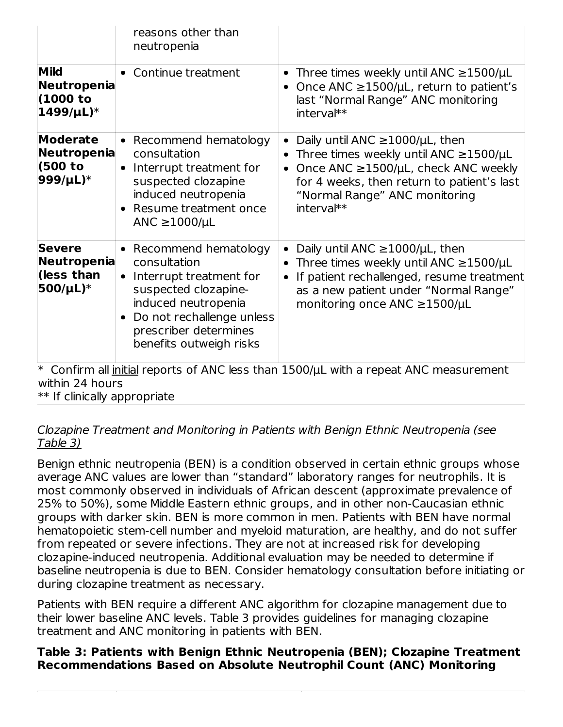|                                                                        | reasons other than<br>neutropenia                                                                                                                                                                                         |                                                                                                                                                                                                                         |
|------------------------------------------------------------------------|---------------------------------------------------------------------------------------------------------------------------------------------------------------------------------------------------------------------------|-------------------------------------------------------------------------------------------------------------------------------------------------------------------------------------------------------------------------|
| <b>Mild</b><br>Neutropenia<br>(1000 to<br>$1499/\mu L$ <sup>*</sup>    | Continue treatment<br>$\bullet$                                                                                                                                                                                           | • Three times weekly until ANC $\geq$ 1500/µL<br>Once ANC ≥1500/µL, return to patient's<br>last "Normal Range" ANC monitoring<br>interval**                                                                             |
| Moderate<br>Neutropenia<br>(500 to<br>$999/ \mu L$ <sup>*</sup>        | Recommend hematology<br>$\bullet$<br>consultation<br>Interrupt treatment for<br>suspected clozapine<br>induced neutropenia<br>Resume treatment once<br>ANC $\geq$ 1000/µL                                                 | Daily until ANC $\geq$ 1000/µL, then<br>Three times weekly until ANC $\geq$ 1500/µL<br>Once ANC ≥1500/µL, check ANC weekly<br>for 4 weeks, then return to patient's last<br>"Normal Range" ANC monitoring<br>interval** |
| <b>Severe</b><br>Neutropenia<br>(less than<br>$500/\mu L$ <sup>*</sup> | Recommend hematology<br>$\bullet$<br>consultation<br>Interrupt treatment for<br>$\bullet$<br>suspected clozapine-<br>induced neutropenia<br>Do not rechallenge unless<br>prescriber determines<br>benefits outweigh risks | Daily until ANC $\geq$ 1000/µL, then<br>Three times weekly until ANC $\geq$ 1500/µL<br>If patient rechallenged, resume treatment<br>as a new patient under "Normal Range"<br>monitoring once ANC ≥1500/µL               |
| within 24 hours                                                        |                                                                                                                                                                                                                           | Confirm all initial reports of ANC less than $1500/\mu$ L with a repeat ANC measurement                                                                                                                                 |

\*\* If clinically appropriate

### Clozapine Treatment and Monitoring in Patients with Benign Ethnic Neutropenia (see Table 3)

Benign ethnic neutropenia (BEN) is a condition observed in certain ethnic groups whose average ANC values are lower than "standard" laboratory ranges for neutrophils. It is most commonly observed in individuals of African descent (approximate prevalence of 25% to 50%), some Middle Eastern ethnic groups, and in other non-Caucasian ethnic groups with darker skin. BEN is more common in men. Patients with BEN have normal hematopoietic stem-cell number and myeloid maturation, are healthy, and do not suffer from repeated or severe infections. They are not at increased risk for developing clozapine-induced neutropenia. Additional evaluation may be needed to determine if baseline neutropenia is due to BEN. Consider hematology consultation before initiating or during clozapine treatment as necessary.

Patients with BEN require a different ANC algorithm for clozapine management due to their lower baseline ANC levels. Table 3 provides guidelines for managing clozapine treatment and ANC monitoring in patients with BEN.

#### **Table 3: Patients with Benign Ethnic Neutropenia (BEN); Clozapine Treatment Recommendations Based on Absolute Neutrophil Count (ANC) Monitoring**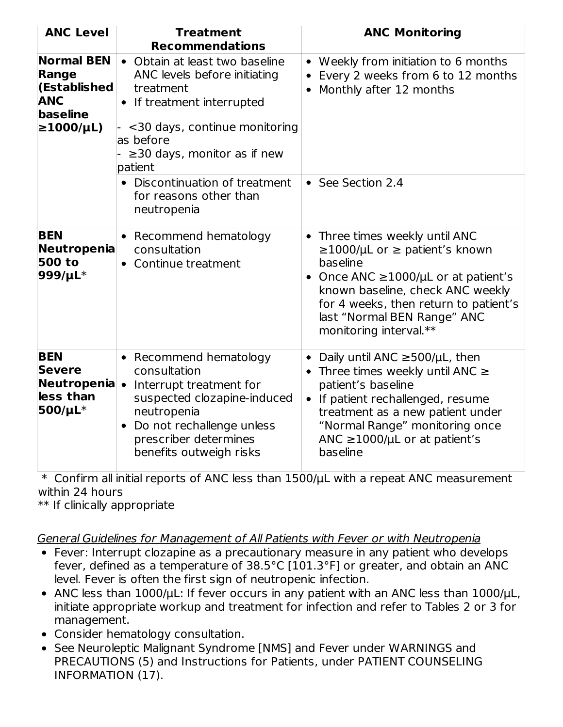| Obtain at least two baseline<br>$\bullet$<br>ANC levels before initiating<br>treatment<br>• If treatment interrupted<br><30 days, continue monitoring<br>as before<br>$\geq$ 30 days, monitor as if new<br>patient | Weekly from initiation to 6 months<br>$\bullet$<br>Every 2 weeks from 6 to 12 months<br>$\bullet$<br>Monthly after 12 months<br>$\bullet$                                                                                                                                          |
|--------------------------------------------------------------------------------------------------------------------------------------------------------------------------------------------------------------------|------------------------------------------------------------------------------------------------------------------------------------------------------------------------------------------------------------------------------------------------------------------------------------|
| • Discontinuation of treatment<br>for reasons other than<br>neutropenia                                                                                                                                            | • See Section 2.4                                                                                                                                                                                                                                                                  |
| • Recommend hematology<br>consultation<br>• Continue treatment                                                                                                                                                     | Three times weekly until ANC<br>$\bullet$<br>$\geq$ 1000/µL or $\geq$ patient's known<br>baseline<br>Once ANC $\geq$ 1000/µL or at patient's<br>known baseline, check ANC weekly<br>for 4 weeks, then return to patient's<br>last "Normal BEN Range" ANC<br>monitoring interval.** |
| • Recommend hematology<br>consultation<br>Interrupt treatment for<br>$\bullet$<br>suspected clozapine-induced<br>neutropenia<br>Do not rechallenge unless<br>prescriber determines<br>benefits outweigh risks      | Daily until ANC $\geq$ 500/µL, then<br>$\bullet$<br>Three times weekly until ANC $\ge$<br>patient's baseline<br>If patient rechallenged, resume<br>treatment as a new patient under<br>"Normal Range" monitoring once<br>ANC $\geq$ 1000/µL or at patient's<br>baseline            |
|                                                                                                                                                                                                                    | * Confirm all initial reports of ANC less than 1500/µL with a repeat ANC measurement                                                                                                                                                                                               |

within 24 hours

\*\* If clinically appropriate

General Guidelines for Management of All Patients with Fever or with Neutropenia

- Fever: Interrupt clozapine as a precautionary measure in any patient who develops fever, defined as a temperature of 38.5°C [101.3°F] or greater, and obtain an ANC level. Fever is often the first sign of neutropenic infection.
- ANC less than 1000/μL: If fever occurs in any patient with an ANC less than 1000/μL, initiate appropriate workup and treatment for infection and refer to Tables 2 or 3 for management.
- Consider hematology consultation.
- See Neuroleptic Malignant Syndrome [NMS] and Fever under WARNINGS and PRECAUTIONS (5) and Instructions for Patients, under PATIENT COUNSELING INFORMATION (17).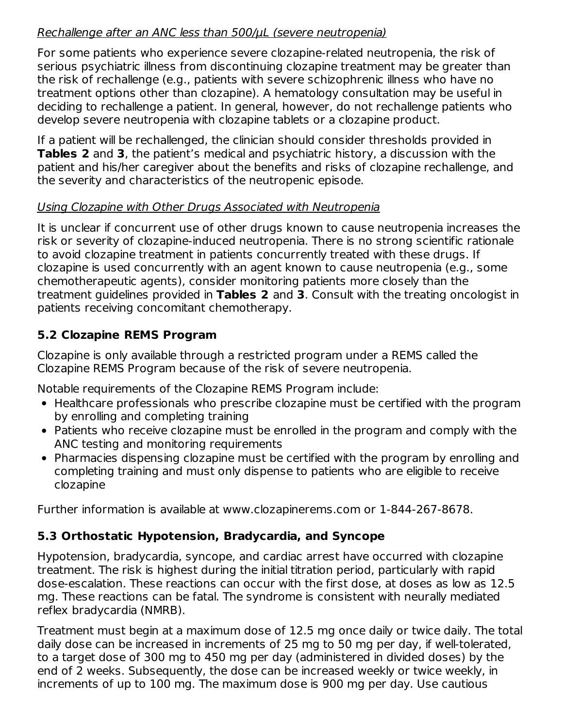### Rechallenge after an ANC less than 500/μL (severe neutropenia)

For some patients who experience severe clozapine-related neutropenia, the risk of serious psychiatric illness from discontinuing clozapine treatment may be greater than the risk of rechallenge (e.g., patients with severe schizophrenic illness who have no treatment options other than clozapine). A hematology consultation may be useful in deciding to rechallenge a patient. In general, however, do not rechallenge patients who develop severe neutropenia with clozapine tablets or a clozapine product.

If a patient will be rechallenged, the clinician should consider thresholds provided in **Tables 2** and **3**, the patient's medical and psychiatric history, a discussion with the patient and his/her caregiver about the benefits and risks of clozapine rechallenge, and the severity and characteristics of the neutropenic episode.

### Using Clozapine with Other Drugs Associated with Neutropenia

It is unclear if concurrent use of other drugs known to cause neutropenia increases the risk or severity of clozapine-induced neutropenia. There is no strong scientific rationale to avoid clozapine treatment in patients concurrently treated with these drugs. If clozapine is used concurrently with an agent known to cause neutropenia (e.g., some chemotherapeutic agents), consider monitoring patients more closely than the treatment guidelines provided in **Tables 2** and **3**. Consult with the treating oncologist in patients receiving concomitant chemotherapy.

## **5.2 Clozapine REMS Program**

Clozapine is only available through a restricted program under a REMS called the Clozapine REMS Program because of the risk of severe neutropenia.

Notable requirements of the Clozapine REMS Program include:

- Healthcare professionals who prescribe clozapine must be certified with the program by enrolling and completing training
- Patients who receive clozapine must be enrolled in the program and comply with the ANC testing and monitoring requirements
- Pharmacies dispensing clozapine must be certified with the program by enrolling and completing training and must only dispense to patients who are eligible to receive clozapine

Further information is available at www.clozapinerems.com or 1-844-267-8678.

## **5.3 Orthostatic Hypotension, Bradycardia, and Syncope**

Hypotension, bradycardia, syncope, and cardiac arrest have occurred with clozapine treatment. The risk is highest during the initial titration period, particularly with rapid dose-escalation. These reactions can occur with the first dose, at doses as low as 12.5 mg. These reactions can be fatal. The syndrome is consistent with neurally mediated reflex bradycardia (NMRB).

Treatment must begin at a maximum dose of 12.5 mg once daily or twice daily. The total daily dose can be increased in increments of 25 mg to 50 mg per day, if well-tolerated, to a target dose of 300 mg to 450 mg per day (administered in divided doses) by the end of 2 weeks. Subsequently, the dose can be increased weekly or twice weekly, in increments of up to 100 mg. The maximum dose is 900 mg per day. Use cautious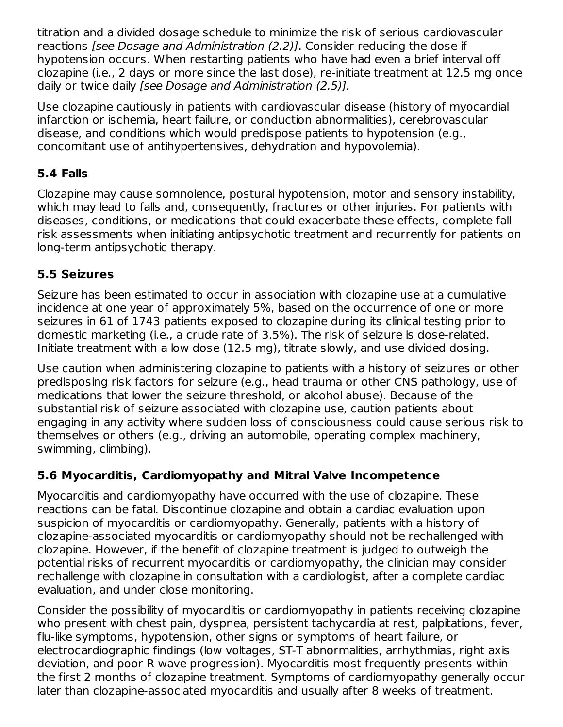titration and a divided dosage schedule to minimize the risk of serious cardiovascular reactions [see Dosage and Administration (2.2)]. Consider reducing the dose if hypotension occurs. When restarting patients who have had even a brief interval off clozapine (i.e., 2 days or more since the last dose), re-initiate treatment at 12.5 mg once daily or twice daily [see Dosage and Administration (2.5)].

Use clozapine cautiously in patients with cardiovascular disease (history of myocardial infarction or ischemia, heart failure, or conduction abnormalities), cerebrovascular disease, and conditions which would predispose patients to hypotension (e.g., concomitant use of antihypertensives, dehydration and hypovolemia).

### **5.4 Falls**

Clozapine may cause somnolence, postural hypotension, motor and sensory instability, which may lead to falls and, consequently, fractures or other injuries. For patients with diseases, conditions, or medications that could exacerbate these effects, complete fall risk assessments when initiating antipsychotic treatment and recurrently for patients on long-term antipsychotic therapy.

## **5.5 Seizures**

Seizure has been estimated to occur in association with clozapine use at a cumulative incidence at one year of approximately 5%, based on the occurrence of one or more seizures in 61 of 1743 patients exposed to clozapine during its clinical testing prior to domestic marketing (i.e., a crude rate of 3.5%). The risk of seizure is dose-related. Initiate treatment with a low dose (12.5 mg), titrate slowly, and use divided dosing.

Use caution when administering clozapine to patients with a history of seizures or other predisposing risk factors for seizure (e.g., head trauma or other CNS pathology, use of medications that lower the seizure threshold, or alcohol abuse). Because of the substantial risk of seizure associated with clozapine use, caution patients about engaging in any activity where sudden loss of consciousness could cause serious risk to themselves or others (e.g., driving an automobile, operating complex machinery, swimming, climbing).

## **5.6 Myocarditis, Cardiomyopathy and Mitral Valve Incompetence**

Myocarditis and cardiomyopathy have occurred with the use of clozapine. These reactions can be fatal. Discontinue clozapine and obtain a cardiac evaluation upon suspicion of myocarditis or cardiomyopathy. Generally, patients with a history of clozapine-associated myocarditis or cardiomyopathy should not be rechallenged with clozapine. However, if the benefit of clozapine treatment is judged to outweigh the potential risks of recurrent myocarditis or cardiomyopathy, the clinician may consider rechallenge with clozapine in consultation with a cardiologist, after a complete cardiac evaluation, and under close monitoring.

Consider the possibility of myocarditis or cardiomyopathy in patients receiving clozapine who present with chest pain, dyspnea, persistent tachycardia at rest, palpitations, fever, flu-like symptoms, hypotension, other signs or symptoms of heart failure, or electrocardiographic findings (low voltages, ST-T abnormalities, arrhythmias, right axis deviation, and poor R wave progression). Myocarditis most frequently presents within the first 2 months of clozapine treatment. Symptoms of cardiomyopathy generally occur later than clozapine-associated myocarditis and usually after 8 weeks of treatment.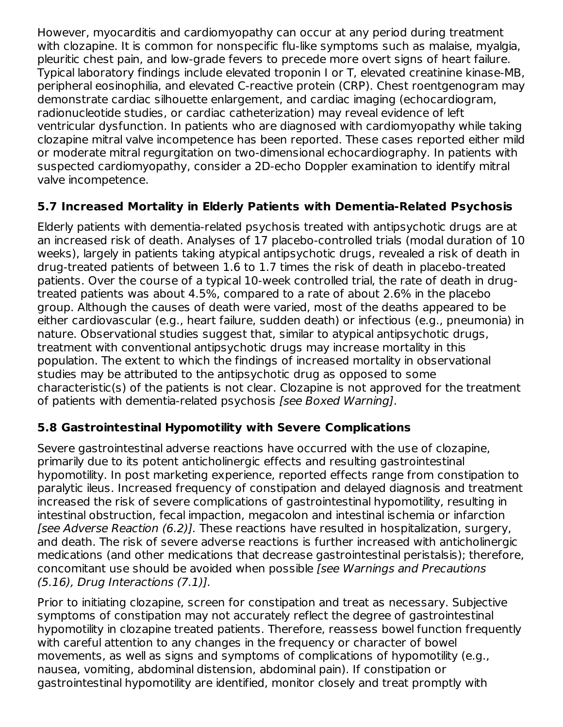However, myocarditis and cardiomyopathy can occur at any period during treatment with clozapine. It is common for nonspecific flu-like symptoms such as malaise, myalgia, pleuritic chest pain, and low-grade fevers to precede more overt signs of heart failure. Typical laboratory findings include elevated troponin I or T, elevated creatinine kinase-MB, peripheral eosinophilia, and elevated C-reactive protein (CRP). Chest roentgenogram may demonstrate cardiac silhouette enlargement, and cardiac imaging (echocardiogram, radionucleotide studies, or cardiac catheterization) may reveal evidence of left ventricular dysfunction. In patients who are diagnosed with cardiomyopathy while taking clozapine mitral valve incompetence has been reported. These cases reported either mild or moderate mitral regurgitation on two-dimensional echocardiography. In patients with suspected cardiomyopathy, consider a 2D-echo Doppler examination to identify mitral valve incompetence.

## **5.7 Increased Mortality in Elderly Patients with Dementia-Related Psychosis**

Elderly patients with dementia-related psychosis treated with antipsychotic drugs are at an increased risk of death. Analyses of 17 placebo-controlled trials (modal duration of 10 weeks), largely in patients taking atypical antipsychotic drugs, revealed a risk of death in drug-treated patients of between 1.6 to 1.7 times the risk of death in placebo-treated patients. Over the course of a typical 10-week controlled trial, the rate of death in drugtreated patients was about 4.5%, compared to a rate of about 2.6% in the placebo group. Although the causes of death were varied, most of the deaths appeared to be either cardiovascular (e.g., heart failure, sudden death) or infectious (e.g., pneumonia) in nature. Observational studies suggest that, similar to atypical antipsychotic drugs, treatment with conventional antipsychotic drugs may increase mortality in this population. The extent to which the findings of increased mortality in observational studies may be attributed to the antipsychotic drug as opposed to some characteristic(s) of the patients is not clear. Clozapine is not approved for the treatment of patients with dementia-related psychosis [see Boxed Warning].

## **5.8 Gastrointestinal Hypomotility with Severe Complications**

Severe gastrointestinal adverse reactions have occurred with the use of clozapine, primarily due to its potent anticholinergic effects and resulting gastrointestinal hypomotility. In post marketing experience, reported effects range from constipation to paralytic ileus. Increased frequency of constipation and delayed diagnosis and treatment increased the risk of severe complications of gastrointestinal hypomotility, resulting in intestinal obstruction, fecal impaction, megacolon and intestinal ischemia or infarction [see Adverse Reaction (6.2)]. These reactions have resulted in hospitalization, surgery, and death. The risk of severe adverse reactions is further increased with anticholinergic medications (and other medications that decrease gastrointestinal peristalsis); therefore, concomitant use should be avoided when possible [see Warnings and Precautions (5.16), Drug Interactions (7.1)].

Prior to initiating clozapine, screen for constipation and treat as necessary. Subjective symptoms of constipation may not accurately reflect the degree of gastrointestinal hypomotility in clozapine treated patients. Therefore, reassess bowel function frequently with careful attention to any changes in the frequency or character of bowel movements, as well as signs and symptoms of complications of hypomotility (e.g., nausea, vomiting, abdominal distension, abdominal pain). If constipation or gastrointestinal hypomotility are identified, monitor closely and treat promptly with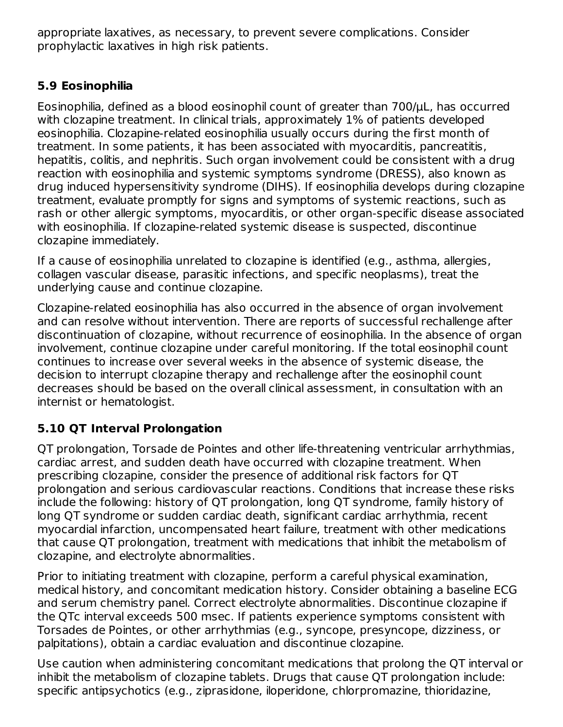appropriate laxatives, as necessary, to prevent severe complications. Consider prophylactic laxatives in high risk patients.

### **5.9 Eosinophilia**

Eosinophilia, defined as a blood eosinophil count of greater than 700/μL, has occurred with clozapine treatment. In clinical trials, approximately 1% of patients developed eosinophilia. Clozapine-related eosinophilia usually occurs during the first month of treatment. In some patients, it has been associated with myocarditis, pancreatitis, hepatitis, colitis, and nephritis. Such organ involvement could be consistent with a drug reaction with eosinophilia and systemic symptoms syndrome (DRESS), also known as drug induced hypersensitivity syndrome (DIHS). If eosinophilia develops during clozapine treatment, evaluate promptly for signs and symptoms of systemic reactions, such as rash or other allergic symptoms, myocarditis, or other organ-specific disease associated with eosinophilia. If clozapine-related systemic disease is suspected, discontinue clozapine immediately.

If a cause of eosinophilia unrelated to clozapine is identified (e.g., asthma, allergies, collagen vascular disease, parasitic infections, and specific neoplasms), treat the underlying cause and continue clozapine.

Clozapine-related eosinophilia has also occurred in the absence of organ involvement and can resolve without intervention. There are reports of successful rechallenge after discontinuation of clozapine, without recurrence of eosinophilia. In the absence of organ involvement, continue clozapine under careful monitoring. If the total eosinophil count continues to increase over several weeks in the absence of systemic disease, the decision to interrupt clozapine therapy and rechallenge after the eosinophil count decreases should be based on the overall clinical assessment, in consultation with an internist or hematologist.

## **5.10 QT Interval Prolongation**

QT prolongation, Torsade de Pointes and other life-threatening ventricular arrhythmias, cardiac arrest, and sudden death have occurred with clozapine treatment. When prescribing clozapine, consider the presence of additional risk factors for QT prolongation and serious cardiovascular reactions. Conditions that increase these risks include the following: history of QT prolongation, long QT syndrome, family history of long QT syndrome or sudden cardiac death, significant cardiac arrhythmia, recent myocardial infarction, uncompensated heart failure, treatment with other medications that cause QT prolongation, treatment with medications that inhibit the metabolism of clozapine, and electrolyte abnormalities.

Prior to initiating treatment with clozapine, perform a careful physical examination, medical history, and concomitant medication history. Consider obtaining a baseline ECG and serum chemistry panel. Correct electrolyte abnormalities. Discontinue clozapine if the QTc interval exceeds 500 msec. If patients experience symptoms consistent with Torsades de Pointes, or other arrhythmias (e.g., syncope, presyncope, dizziness, or palpitations), obtain a cardiac evaluation and discontinue clozapine.

Use caution when administering concomitant medications that prolong the QT interval or inhibit the metabolism of clozapine tablets. Drugs that cause QT prolongation include: specific antipsychotics (e.g., ziprasidone, iloperidone, chlorpromazine, thioridazine,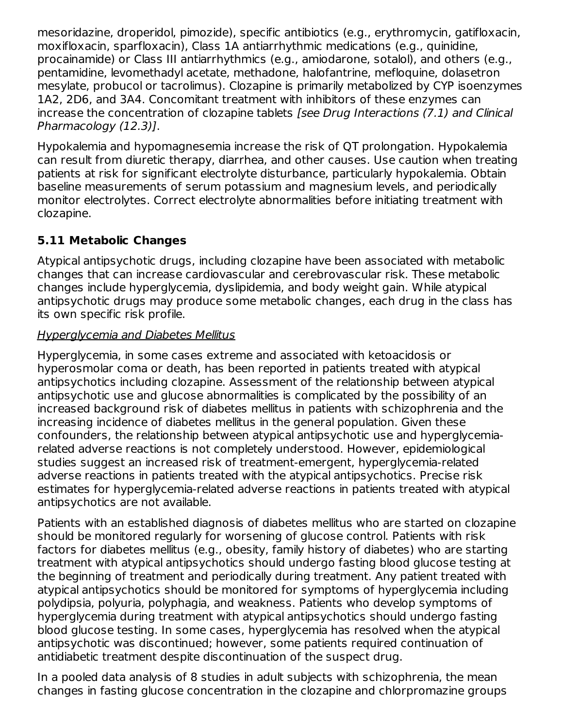mesoridazine, droperidol, pimozide), specific antibiotics (e.g., erythromycin, gatifloxacin, moxifloxacin, sparfloxacin), Class 1A antiarrhythmic medications (e.g., quinidine, procainamide) or Class III antiarrhythmics (e.g., amiodarone, sotalol), and others (e.g., pentamidine, levomethadyl acetate, methadone, halofantrine, mefloquine, dolasetron mesylate, probucol or tacrolimus). Clozapine is primarily metabolized by CYP isoenzymes 1A2, 2D6, and 3A4. Concomitant treatment with inhibitors of these enzymes can increase the concentration of clozapine tablets [see Drug Interactions (7.1) and Clinical Pharmacology (12.3)].

Hypokalemia and hypomagnesemia increase the risk of QT prolongation. Hypokalemia can result from diuretic therapy, diarrhea, and other causes. Use caution when treating patients at risk for significant electrolyte disturbance, particularly hypokalemia. Obtain baseline measurements of serum potassium and magnesium levels, and periodically monitor electrolytes. Correct electrolyte abnormalities before initiating treatment with clozapine.

## **5.11 Metabolic Changes**

Atypical antipsychotic drugs, including clozapine have been associated with metabolic changes that can increase cardiovascular and cerebrovascular risk. These metabolic changes include hyperglycemia, dyslipidemia, and body weight gain. While atypical antipsychotic drugs may produce some metabolic changes, each drug in the class has its own specific risk profile.

### Hyperglycemia and Diabetes Mellitus

Hyperglycemia, in some cases extreme and associated with ketoacidosis or hyperosmolar coma or death, has been reported in patients treated with atypical antipsychotics including clozapine. Assessment of the relationship between atypical antipsychotic use and glucose abnormalities is complicated by the possibility of an increased background risk of diabetes mellitus in patients with schizophrenia and the increasing incidence of diabetes mellitus in the general population. Given these confounders, the relationship between atypical antipsychotic use and hyperglycemiarelated adverse reactions is not completely understood. However, epidemiological studies suggest an increased risk of treatment-emergent, hyperglycemia-related adverse reactions in patients treated with the atypical antipsychotics. Precise risk estimates for hyperglycemia-related adverse reactions in patients treated with atypical antipsychotics are not available.

Patients with an established diagnosis of diabetes mellitus who are started on clozapine should be monitored regularly for worsening of glucose control. Patients with risk factors for diabetes mellitus (e.g., obesity, family history of diabetes) who are starting treatment with atypical antipsychotics should undergo fasting blood glucose testing at the beginning of treatment and periodically during treatment. Any patient treated with atypical antipsychotics should be monitored for symptoms of hyperglycemia including polydipsia, polyuria, polyphagia, and weakness. Patients who develop symptoms of hyperglycemia during treatment with atypical antipsychotics should undergo fasting blood glucose testing. In some cases, hyperglycemia has resolved when the atypical antipsychotic was discontinued; however, some patients required continuation of antidiabetic treatment despite discontinuation of the suspect drug.

In a pooled data analysis of 8 studies in adult subjects with schizophrenia, the mean changes in fasting glucose concentration in the clozapine and chlorpromazine groups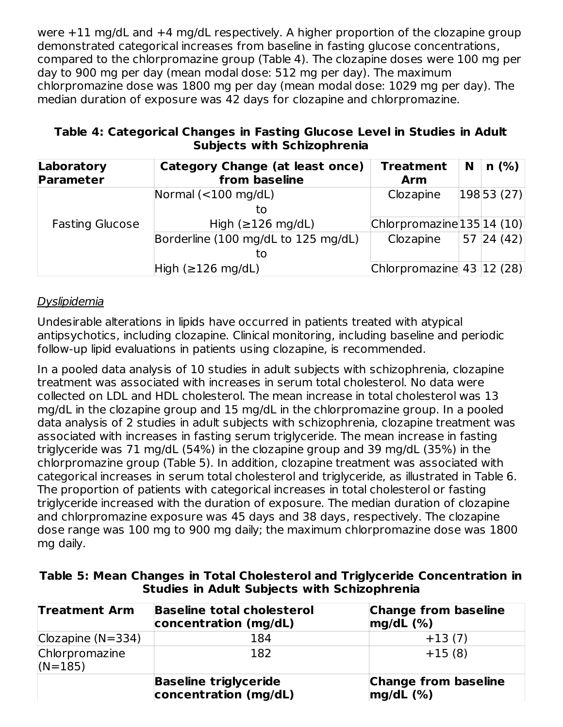were +11 mg/dL and +4 mg/dL respectively. A higher proportion of the clozapine group demonstrated categorical increases from baseline in fasting glucose concentrations, compared to the chlorpromazine group (Table 4). The clozapine doses were 100 mg per day to 900 mg per day (mean modal dose: 512 mg per day). The maximum chlorpromazine dose was 1800 mg per day (mean modal dose: 1029 mg per day). The median duration of exposure was 42 days for clozapine and chlorpromazine.

| Laboratory<br>Parameter | Category Change (at least once)<br>from baseline | <b>Treatment</b><br><b>Arm</b>   | N | $n$ (%)    |
|-------------------------|--------------------------------------------------|----------------------------------|---|------------|
|                         | Normal $(<100$ mg/dL)                            | Clozapine                        |   | 198 53(27) |
|                         | tο                                               |                                  |   |            |
| <b>Fasting Glucose</b>  | High $(\geq 126 \text{ mg/dL})$                  | $Chlorpromazine$ $135$ $14$ (10) |   |            |
|                         | Borderline (100 mg/dL to 125 mg/dL)              | Clozapine                        |   | 57 24(42)  |
|                         | τo                                               |                                  |   |            |
|                         | High ( $\geq$ 126 mg/dL)                         | Chlorpromazine 43 $ 12 \ (28) $  |   |            |

### **Table 4: Categorical Changes in Fasting Glucose Level in Studies in Adult Subjects with Schizophrenia**

### Dyslipidemia

Undesirable alterations in lipids have occurred in patients treated with atypical antipsychotics, including clozapine. Clinical monitoring, including baseline and periodic follow-up lipid evaluations in patients using clozapine, is recommended.

In a pooled data analysis of 10 studies in adult subjects with schizophrenia, clozapine treatment was associated with increases in serum total cholesterol. No data were collected on LDL and HDL cholesterol. The mean increase in total cholesterol was 13 mg/dL in the clozapine group and 15 mg/dL in the chlorpromazine group. In a pooled data analysis of 2 studies in adult subjects with schizophrenia, clozapine treatment was associated with increases in fasting serum triglyceride. The mean increase in fasting triglyceride was 71 mg/dL (54%) in the clozapine group and 39 mg/dL (35%) in the chlorpromazine group (Table 5). In addition, clozapine treatment was associated with categorical increases in serum total cholesterol and triglyceride, as illustrated in Table 6. The proportion of patients with categorical increases in total cholesterol or fasting triglyceride increased with the duration of exposure. The median duration of clozapine and chlorpromazine exposure was 45 days and 38 days, respectively. The clozapine dose range was 100 mg to 900 mg daily; the maximum chlorpromazine dose was 1800 mg daily.

| Table 5: Mean Changes in Total Cholesterol and Triglyceride Concentration in |
|------------------------------------------------------------------------------|
| <b>Studies in Adult Subjects with Schizophrenia</b>                          |

| <b>Treatment Arm</b>        | <b>Baseline total cholesterol</b><br>concentration (mg/dL) | <b>Change from baseline</b><br>$mg/dL$ (%) |  |  |  |
|-----------------------------|------------------------------------------------------------|--------------------------------------------|--|--|--|
| Clozapine $(N=334)$         | 184                                                        | $+13(7)$                                   |  |  |  |
| Chlorpromazine<br>$(N=185)$ | 182                                                        | $+15(8)$                                   |  |  |  |
|                             | <b>Baseline triglyceride</b><br>concentration (mg/dL)      | <b>Change from baseline</b><br>$mg/dL$ (%) |  |  |  |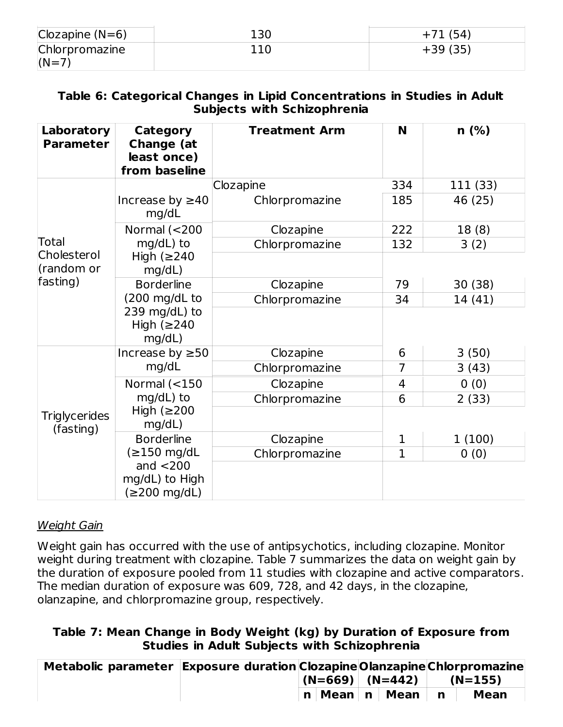| Clozapine $(N=6)$ | 130 | $+71(54)$ |
|-------------------|-----|-----------|
| Chlorpromazine    |     | $+39(35)$ |
| $(N=7)$           |     |           |

### **Table 6: Categorical Changes in Lipid Concentrations in Studies in Adult Subjects with Schizophrenia**

| Laboratory<br><b>Parameter</b>    | <b>Category</b><br>Change (at<br>least once)<br>from baseline | <b>Treatment Arm</b> | N              | n(%)     |
|-----------------------------------|---------------------------------------------------------------|----------------------|----------------|----------|
|                                   |                                                               | Clozapine            | 334            | 111 (33) |
|                                   | Increase by $\geq 40$<br>mg/dL                                | Chlorpromazine       | 185            | 46 (25)  |
|                                   | Normal (<200                                                  | Clozapine            | 222            | 18(8)    |
| Total                             | mg/dL) to                                                     | Chlorpromazine       | 132            | 3(2)     |
| Cholesterol<br>(random or         | High $(≥240$<br>mg/dL)                                        |                      |                |          |
| fasting)                          | <b>Borderline</b>                                             | Clozapine            |                | 30(38)   |
|                                   | $(200 \text{ mg/dL to})$                                      | Chlorpromazine       | 34             | 14 (41)  |
|                                   | 239 mg/dL) to<br>High $(≥240$<br>mg/dL)                       |                      |                |          |
|                                   | Increase by $\geq 50$                                         | Clozapine            | 6              | 3(50)    |
|                                   | mg/dL                                                         | Chlorpromazine       | 7              | 3(43)    |
|                                   | Normal $(<150$                                                | Clozapine            | 4              | 0(0)     |
|                                   | $mq/dL$ ) to                                                  | Chlorpromazine       | 6              | 2(33)    |
| <b>Triglycerides</b><br>(fasting) | High $(≥200$<br>mg/dL)                                        |                      |                |          |
|                                   | <b>Borderline</b>                                             | Clozapine            | 1              | 1(100)   |
|                                   | $(\geq 150 \text{ mg/dL})$                                    | Chlorpromazine       | $\overline{1}$ | 0(0)     |
|                                   | and $<$ 200<br>mg/dL) to High<br>(≥200 mg/dL)                 |                      |                |          |

### Weight Gain

Weight gain has occurred with the use of antipsychotics, including clozapine. Monitor weight during treatment with clozapine. Table 7 summarizes the data on weight gain by the duration of exposure pooled from 11 studies with clozapine and active comparators. The median duration of exposure was 609, 728, and 42 days, in the clozapine, olanzapine, and chlorpromazine group, respectively.

### **Table 7: Mean Change in Body Weight (kg) by Duration of Exposure from Studies in Adult Subjects with Schizophrenia**

|  | Metabolic parameter Exposure duration Clozapine Olanzapine Chlorpromazine |  |                             |                          |           |             |
|--|---------------------------------------------------------------------------|--|-----------------------------|--------------------------|-----------|-------------|
|  |                                                                           |  | $ $ (N=669) $ $ (N=442) $ $ |                          | $(N=155)$ |             |
|  |                                                                           |  |                             | ∣n   Mean   n   Mean   n |           | <b>Mean</b> |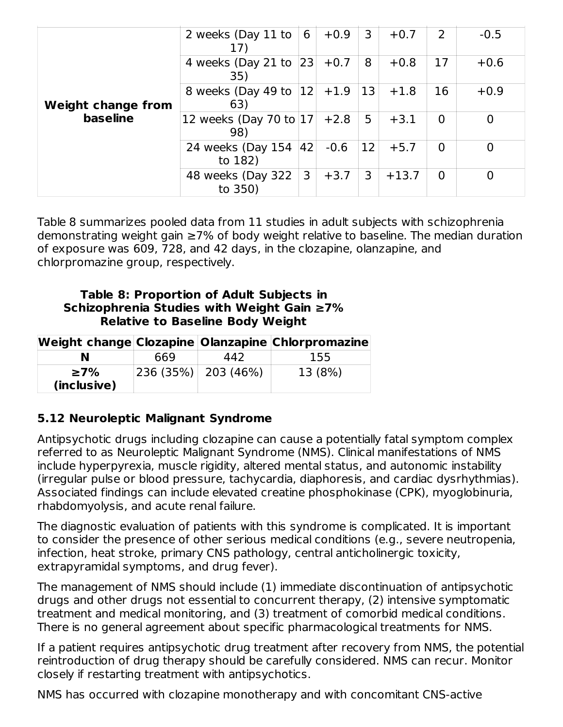|                           | 2 weeks (Day 11 to<br>17)         | 6  | $+0.9$ | 3  | $+0.7$  | 2        | $-0.5$ |
|---------------------------|-----------------------------------|----|--------|----|---------|----------|--------|
|                           | 4 weeks (Day 21 to<br>35)         | 23 | $+0.7$ | 8  | $+0.8$  | 17       | $+0.6$ |
| <b>Weight change from</b> | 8 weeks (Day 49 to<br>63)         | 12 | $+1.9$ | 13 | $+1.8$  | 16       | $+0.9$ |
| <b>baseline</b>           | 12 weeks (Day 70 to $ 17 $<br>98) |    | $+2.8$ | 5  | $+3.1$  | 0        | 0      |
|                           | 24 weeks (Day 154<br>to 182)      | 42 | $-0.6$ | 12 | $+5.7$  | $\Omega$ | 0      |
|                           | 48 weeks (Day 322<br>to 350)      | 3  | $+3.7$ | 3  | $+13.7$ | 0        | 0      |

Table 8 summarizes pooled data from 11 studies in adult subjects with schizophrenia demonstrating weight gain ≥7% of body weight relative to baseline. The median duration of exposure was 609, 728, and 42 days, in the clozapine, olanzapine, and chlorpromazine group, respectively.

#### **Table 8: Proportion of Adult Subjects in Schizophrenia Studies with Weight Gain ≥7% Relative to Baseline Body Weight**

|                           |     |                      | Weight change Clozapine Olanzapine Chlorpromazine |
|---------------------------|-----|----------------------|---------------------------------------------------|
| N                         | 669 | 442                  | 155                                               |
| $\geq 7\%$<br>(inclusive) |     | 236 (35%)  203 (46%) | 13 (8%)                                           |

## **5.12 Neuroleptic Malignant Syndrome**

Antipsychotic drugs including clozapine can cause a potentially fatal symptom complex referred to as Neuroleptic Malignant Syndrome (NMS). Clinical manifestations of NMS include hyperpyrexia, muscle rigidity, altered mental status, and autonomic instability (irregular pulse or blood pressure, tachycardia, diaphoresis, and cardiac dysrhythmias). Associated findings can include elevated creatine phosphokinase (CPK), myoglobinuria, rhabdomyolysis, and acute renal failure.

The diagnostic evaluation of patients with this syndrome is complicated. It is important to consider the presence of other serious medical conditions (e.g., severe neutropenia, infection, heat stroke, primary CNS pathology, central anticholinergic toxicity, extrapyramidal symptoms, and drug fever).

The management of NMS should include (1) immediate discontinuation of antipsychotic drugs and other drugs not essential to concurrent therapy, (2) intensive symptomatic treatment and medical monitoring, and (3) treatment of comorbid medical conditions. There is no general agreement about specific pharmacological treatments for NMS.

If a patient requires antipsychotic drug treatment after recovery from NMS, the potential reintroduction of drug therapy should be carefully considered. NMS can recur. Monitor closely if restarting treatment with antipsychotics.

NMS has occurred with clozapine monotherapy and with concomitant CNS-active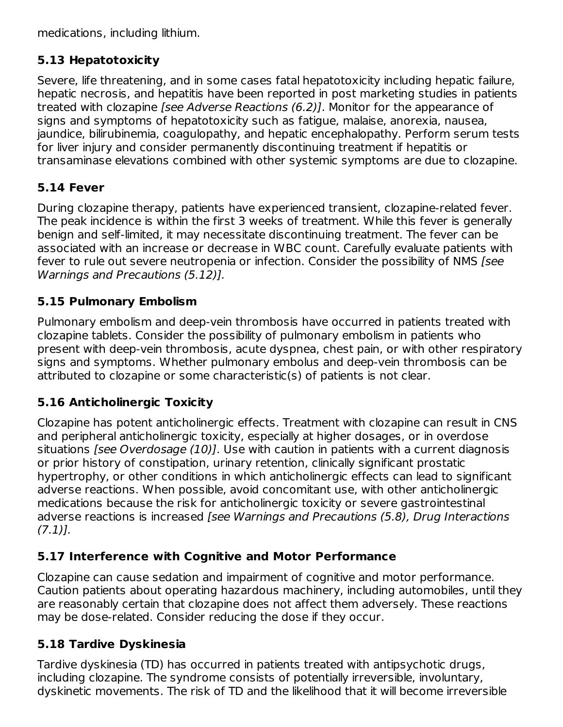medications, including lithium.

## **5.13 Hepatotoxicity**

Severe, life threatening, and in some cases fatal hepatotoxicity including hepatic failure, hepatic necrosis, and hepatitis have been reported in post marketing studies in patients treated with clozapine [see Adverse Reactions (6.2)]. Monitor for the appearance of signs and symptoms of hepatotoxicity such as fatigue, malaise, anorexia, nausea, jaundice, bilirubinemia, coagulopathy, and hepatic encephalopathy. Perform serum tests for liver injury and consider permanently discontinuing treatment if hepatitis or transaminase elevations combined with other systemic symptoms are due to clozapine.

## **5.14 Fever**

During clozapine therapy, patients have experienced transient, clozapine-related fever. The peak incidence is within the first 3 weeks of treatment. While this fever is generally benign and self-limited, it may necessitate discontinuing treatment. The fever can be associated with an increase or decrease in WBC count. Carefully evaluate patients with fever to rule out severe neutropenia or infection. Consider the possibility of NMS [see Warnings and Precautions (5.12)].

## **5.15 Pulmonary Embolism**

Pulmonary embolism and deep-vein thrombosis have occurred in patients treated with clozapine tablets. Consider the possibility of pulmonary embolism in patients who present with deep-vein thrombosis, acute dyspnea, chest pain, or with other respiratory signs and symptoms. Whether pulmonary embolus and deep-vein thrombosis can be attributed to clozapine or some characteristic(s) of patients is not clear.

## **5.16 Anticholinergic Toxicity**

Clozapine has potent anticholinergic effects. Treatment with clozapine can result in CNS and peripheral anticholinergic toxicity, especially at higher dosages, or in overdose situations [see Overdosage (10)]. Use with caution in patients with a current diagnosis or prior history of constipation, urinary retention, clinically significant prostatic hypertrophy, or other conditions in which anticholinergic effects can lead to significant adverse reactions. When possible, avoid concomitant use, with other anticholinergic medications because the risk for anticholinergic toxicity or severe gastrointestinal adverse reactions is increased [see Warnings and Precautions (5.8), Drug Interactions  $(7.1)$ ].

## **5.17 Interference with Cognitive and Motor Performance**

Clozapine can cause sedation and impairment of cognitive and motor performance. Caution patients about operating hazardous machinery, including automobiles, until they are reasonably certain that clozapine does not affect them adversely. These reactions may be dose-related. Consider reducing the dose if they occur.

## **5.18 Tardive Dyskinesia**

Tardive dyskinesia (TD) has occurred in patients treated with antipsychotic drugs, including clozapine. The syndrome consists of potentially irreversible, involuntary, dyskinetic movements. The risk of TD and the likelihood that it will become irreversible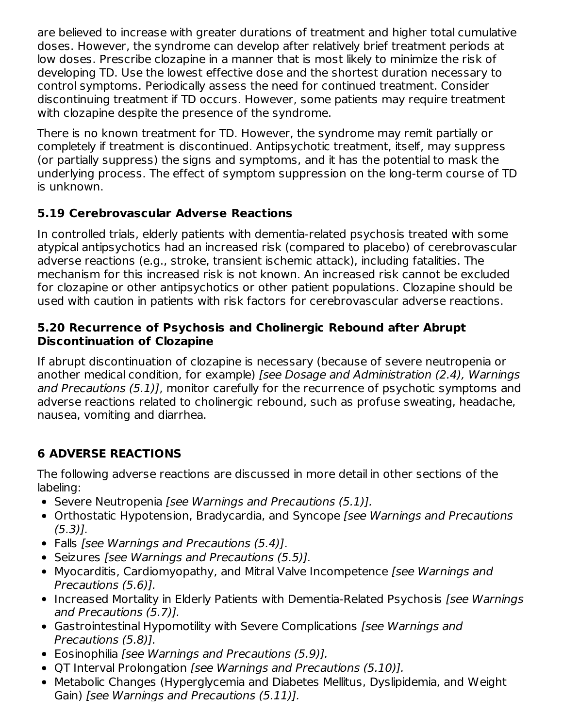are believed to increase with greater durations of treatment and higher total cumulative doses. However, the syndrome can develop after relatively brief treatment periods at low doses. Prescribe clozapine in a manner that is most likely to minimize the risk of developing TD. Use the lowest effective dose and the shortest duration necessary to control symptoms. Periodically assess the need for continued treatment. Consider discontinuing treatment if TD occurs. However, some patients may require treatment with clozapine despite the presence of the syndrome.

There is no known treatment for TD. However, the syndrome may remit partially or completely if treatment is discontinued. Antipsychotic treatment, itself, may suppress (or partially suppress) the signs and symptoms, and it has the potential to mask the underlying process. The effect of symptom suppression on the long-term course of TD is unknown.

## **5.19 Cerebrovascular Adverse Reactions**

In controlled trials, elderly patients with dementia-related psychosis treated with some atypical antipsychotics had an increased risk (compared to placebo) of cerebrovascular adverse reactions (e.g., stroke, transient ischemic attack), including fatalities. The mechanism for this increased risk is not known. An increased risk cannot be excluded for clozapine or other antipsychotics or other patient populations. Clozapine should be used with caution in patients with risk factors for cerebrovascular adverse reactions.

### **5.20 Recurrence of Psychosis and Cholinergic Rebound after Abrupt Discontinuation of Clozapine**

If abrupt discontinuation of clozapine is necessary (because of severe neutropenia or another medical condition, for example) [see Dosage and Administration (2.4), Warnings and Precautions (5.1)], monitor carefully for the recurrence of psychotic symptoms and adverse reactions related to cholinergic rebound, such as profuse sweating, headache, nausea, vomiting and diarrhea.

## **6 ADVERSE REACTIONS**

The following adverse reactions are discussed in more detail in other sections of the labeling:

- Severe Neutropenia [see Warnings and Precautions (5.1)].
- Orthostatic Hypotension, Bradycardia, and Syncope *[see Warnings and Precautions*  $(5.3)$ ].
- Falls *[see Warnings and Precautions (5.4)]*.
- Seizures [see Warnings and Precautions (5.5)].
- Myocarditis, Cardiomyopathy, and Mitral Valve Incompetence [see Warnings and Precautions (5.6)].
- Increased Mortality in Elderly Patients with Dementia-Related Psychosis [see Warnings and Precautions (5.7)].
- Gastrointestinal Hypomotility with Severe Complications [see Warnings and Precautions (5.8)].
- Eosinophilia [see Warnings and Precautions (5.9)].
- QT Interval Prolongation [see Warnings and Precautions (5.10)].
- Metabolic Changes (Hyperglycemia and Diabetes Mellitus, Dyslipidemia, and Weight Gain) [see Warnings and Precautions (5.11)].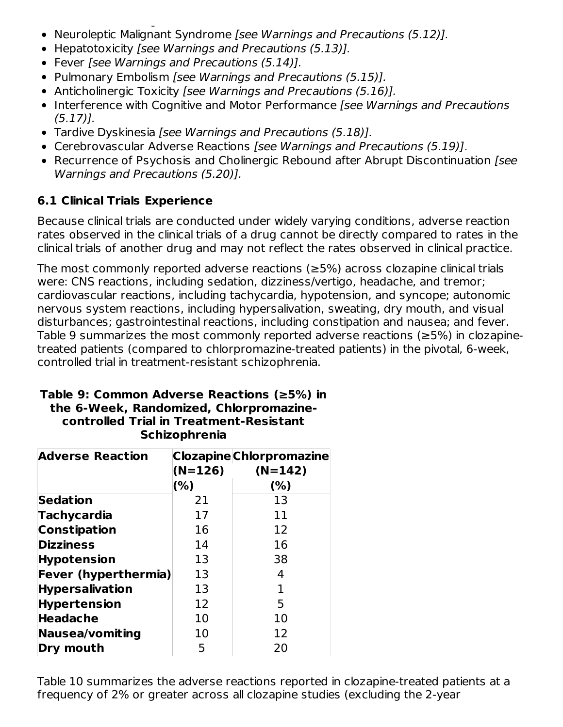- Gain) [see Warnings and Precautions (5.11)]. • Neuroleptic Malignant Syndrome [see Warnings and Precautions (5.12)].
- Hepatotoxicity [see Warnings and Precautions (5.13)].
- Fever [see Warnings and Precautions (5.14)].
- Pulmonary Embolism [see Warnings and Precautions (5.15)].
- Anticholinergic Toxicity [see Warnings and Precautions (5.16)].
- Interference with Cognitive and Motor Performance [see Warnings and Precautions (5.17)].
- Tardive Dyskinesia [see Warnings and Precautions (5.18)].
- Cerebrovascular Adverse Reactions [see Warnings and Precautions (5.19)].
- Recurrence of Psychosis and Cholinergic Rebound after Abrupt Discontinuation [see Warnings and Precautions (5.20)].

## **6.1 Clinical Trials Experience**

Because clinical trials are conducted under widely varying conditions, adverse reaction rates observed in the clinical trials of a drug cannot be directly compared to rates in the clinical trials of another drug and may not reflect the rates observed in clinical practice.

The most commonly reported adverse reactions (≥5%) across clozapine clinical trials were: CNS reactions, including sedation, dizziness/vertigo, headache, and tremor; cardiovascular reactions, including tachycardia, hypotension, and syncope; autonomic nervous system reactions, including hypersalivation, sweating, dry mouth, and visual disturbances; gastrointestinal reactions, including constipation and nausea; and fever. Table 9 summarizes the most commonly reported adverse reactions (≥5%) in clozapinetreated patients (compared to chlorpromazine-treated patients) in the pivotal, 6-week, controlled trial in treatment-resistant schizophrenia.

#### **Table 9: Common Adverse Reactions (≥5%) in the 6-Week, Randomized, Chlorpromazinecontrolled Trial in Treatment-Resistant Schizophrenia**

| <b>Adverse Reaction</b>     | $(N=126)$ | Clozapine Chlorpromazine<br>$(N=142)$ |
|-----------------------------|-----------|---------------------------------------|
|                             | (% )      | (% )                                  |
| <b>Sedation</b>             | 21        | 13                                    |
| Tachycardia                 | 17        | 11                                    |
| Constipation                | 16        | 12                                    |
| <b>Dizziness</b>            | 14        | 16                                    |
| <b>Hypotension</b>          | 13        | 38                                    |
| <b>Fever (hyperthermia)</b> | 13        | 4                                     |
| <b>Hypersalivation</b>      | 13        | 1                                     |
| <b>Hypertension</b>         | 12        | 5                                     |
| <b>Headache</b>             | 10        | 10                                    |
| Nausea/vomiting             | 10        | 12                                    |
| Dry mouth                   | 5         | 20                                    |

Table 10 summarizes the adverse reactions reported in clozapine-treated patients at a frequency of 2% or greater across all clozapine studies (excluding the 2-year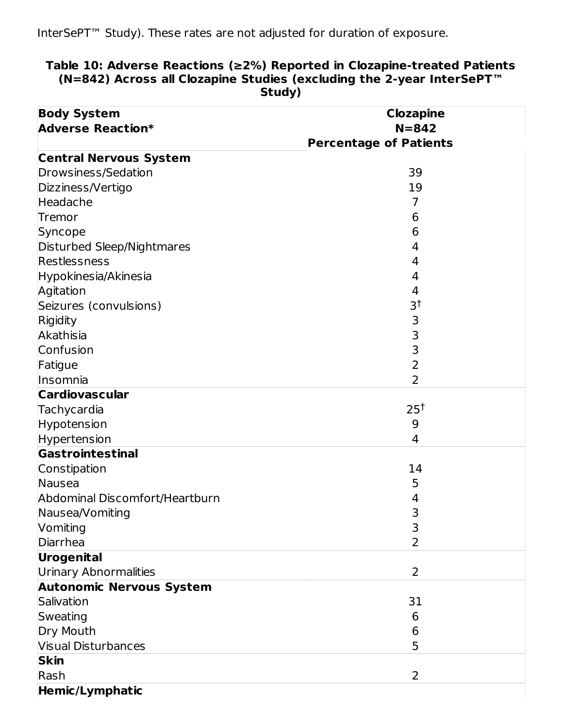InterSePT™ Study). These rates are not adjusted for duration of exposure.

| <b>Body System</b><br><b>Adverse Reaction*</b> | <b>Clozapine</b><br>$N = 842$<br><b>Percentage of Patients</b> |
|------------------------------------------------|----------------------------------------------------------------|
| <b>Central Nervous System</b>                  |                                                                |
| Drowsiness/Sedation                            | 39                                                             |
| Dizziness/Vertigo                              | 19                                                             |
| Headache                                       | 7                                                              |
| Tremor                                         | 6                                                              |
| Syncope                                        | 6                                                              |
| Disturbed Sleep/Nightmares                     | 4                                                              |
| Restlessness                                   | 4                                                              |
| Hypokinesia/Akinesia                           | 4                                                              |
| Agitation                                      | 4                                                              |
| Seizures (convulsions)                         | Зt                                                             |
| Rigidity                                       | 3                                                              |
| Akathisia                                      | 3                                                              |
| Confusion                                      | 3                                                              |
| Fatigue                                        | $\overline{2}$                                                 |
| Insomnia                                       | $\overline{2}$                                                 |
| <b>Cardiovascular</b>                          |                                                                |
| Tachycardia                                    | 25 <sup>†</sup>                                                |
| Hypotension                                    | 9                                                              |
| Hypertension                                   | 4                                                              |
| Gastrointestinal                               |                                                                |
| Constipation                                   | 14                                                             |
| Nausea                                         | 5                                                              |
| Abdominal Discomfort/Heartburn                 | 4                                                              |
| Nausea/Vomiting                                | 3                                                              |
| Vomiting                                       | 3                                                              |
| Diarrhea                                       | $\overline{2}$                                                 |
| Urogenital                                     |                                                                |
| Urinary Abnormalities                          | 2                                                              |
| <b>Autonomic Nervous System</b>                |                                                                |
| Salivation                                     | 31                                                             |
| Sweating                                       | 6                                                              |
| Dry Mouth                                      | 6                                                              |
| <b>Visual Disturbances</b>                     | 5                                                              |
| <b>Skin</b>                                    |                                                                |
| Rash                                           | 2                                                              |
| <b>Hemic/Lymphatic</b>                         |                                                                |

#### **Table 10: Adverse Reactions (≥2%) Reported in Clozapine-treated Patients (N=842) Across all Clozapine Studies (excluding the 2-year InterSePT™ Study)**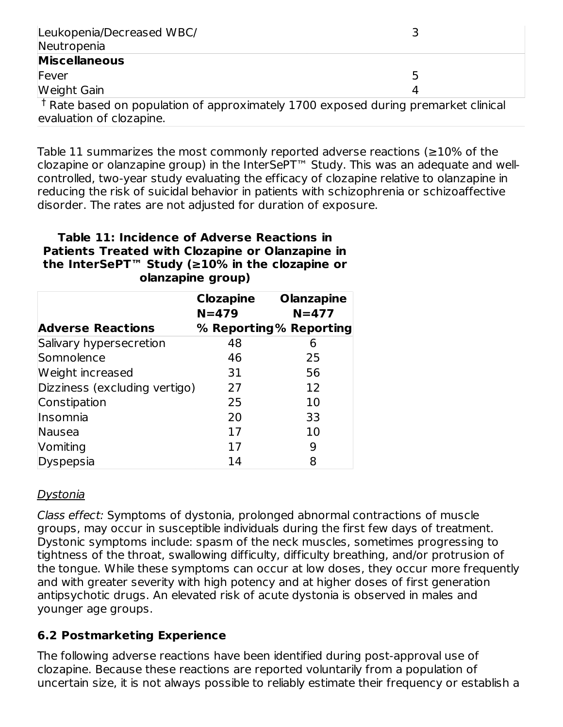| Leukopenia/Decreased WBC/                                                                     |   |
|-----------------------------------------------------------------------------------------------|---|
| Neutropenia                                                                                   |   |
| <b>Miscellaneous</b>                                                                          |   |
| Fever                                                                                         | 5 |
| Weight Gain                                                                                   |   |
| <sup>†</sup> Rate based on population of approximately 1700 exposed during premarket clinical |   |
| evaluation of clozapine.                                                                      |   |

Table 11 summarizes the most commonly reported adverse reactions (≥10% of the clozapine or olanzapine group) in the InterSePT™ Study. This was an adequate and wellcontrolled, two-year study evaluating the efficacy of clozapine relative to olanzapine in reducing the risk of suicidal behavior in patients with schizophrenia or schizoaffective disorder. The rates are not adjusted for duration of exposure.

### **Table 11: Incidence of Adverse Reactions in Patients Treated with Clozapine or Olanzapine in the InterSePT™ Study (≥10% in the clozapine or olanzapine group)**

|                               | <b>Clozapine</b><br>$N = 479$ | <b>Olanzapine</b><br>$N = 477$ |
|-------------------------------|-------------------------------|--------------------------------|
| <b>Adverse Reactions</b>      |                               | % Reporting% Reporting         |
| Salivary hypersecretion       | 48                            | h                              |
| Somnolence                    | 46                            | 25                             |
| Weight increased              | 31                            | 56                             |
| Dizziness (excluding vertigo) | 27                            | 12                             |
| Constipation                  | 25                            | 10                             |
| llnsomnia                     | 20                            | 33                             |
| Nausea                        | 17                            | 10                             |
| Vomiting                      | 17                            | 9                              |
| Dyspepsia                     | 14                            | 8                              |

### Dystonia

Class effect: Symptoms of dystonia, prolonged abnormal contractions of muscle groups, may occur in susceptible individuals during the first few days of treatment. Dystonic symptoms include: spasm of the neck muscles, sometimes progressing to tightness of the throat, swallowing difficulty, difficulty breathing, and/or protrusion of the tongue. While these symptoms can occur at low doses, they occur more frequently and with greater severity with high potency and at higher doses of first generation antipsychotic drugs. An elevated risk of acute dystonia is observed in males and younger age groups.

### **6.2 Postmarketing Experience**

The following adverse reactions have been identified during post-approval use of clozapine. Because these reactions are reported voluntarily from a population of uncertain size, it is not always possible to reliably estimate their frequency or establish a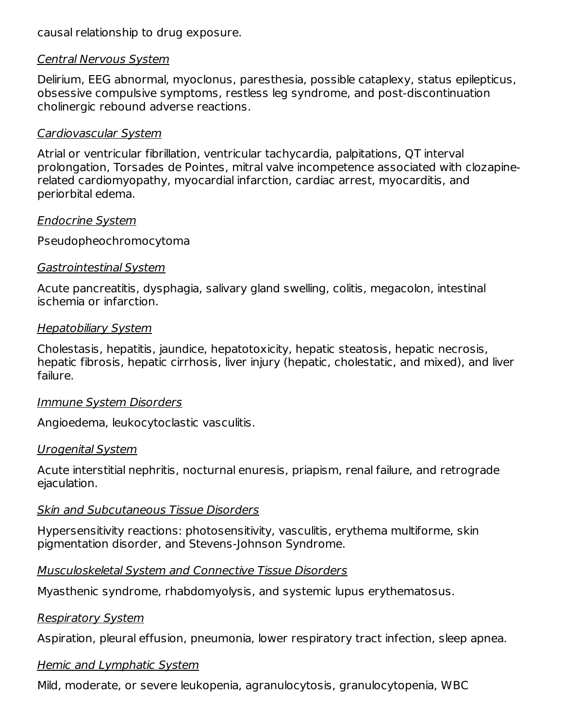causal relationship to drug exposure.

#### Central Nervous System

Delirium, EEG abnormal, myoclonus, paresthesia, possible cataplexy, status epilepticus, obsessive compulsive symptoms, restless leg syndrome, and post-discontinuation cholinergic rebound adverse reactions.

#### Cardiovascular System

Atrial or ventricular fibrillation, ventricular tachycardia, palpitations, QT interval prolongation, Torsades de Pointes, mitral valve incompetence associated with clozapinerelated cardiomyopathy, myocardial infarction, cardiac arrest, myocarditis, and periorbital edema.

#### Endocrine System

Pseudopheochromocytoma

#### Gastrointestinal System

Acute pancreatitis, dysphagia, salivary gland swelling, colitis, megacolon, intestinal ischemia or infarction.

#### Hepatobiliary System

Cholestasis, hepatitis, jaundice, hepatotoxicity, hepatic steatosis, hepatic necrosis, hepatic fibrosis, hepatic cirrhosis, liver injury (hepatic, cholestatic, and mixed), and liver failure.

### Immune System Disorders

Angioedema, leukocytoclastic vasculitis.

### Urogenital System

Acute interstitial nephritis, nocturnal enuresis, priapism, renal failure, and retrograde ejaculation.

### **Skin and Subcutaneous Tissue Disorders**

Hypersensitivity reactions: photosensitivity, vasculitis, erythema multiforme, skin pigmentation disorder, and Stevens-Johnson Syndrome.

### Musculoskeletal System and Connective Tissue Disorders

Myasthenic syndrome, rhabdomyolysis, and systemic lupus erythematosus.

### Respiratory System

Aspiration, pleural effusion, pneumonia, lower respiratory tract infection, sleep apnea.

#### Hemic and Lymphatic System

Mild, moderate, or severe leukopenia, agranulocytosis, granulocytopenia, WBC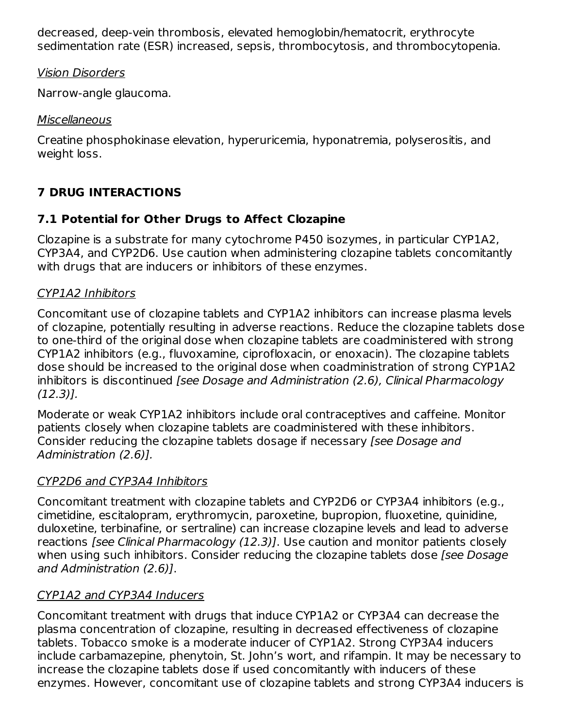decreased, deep-vein thrombosis, elevated hemoglobin/hematocrit, erythrocyte sedimentation rate (ESR) increased, sepsis, thrombocytosis, and thrombocytopenia.

### Vision Disorders

Narrow-angle glaucoma.

### **Miscellaneous**

Creatine phosphokinase elevation, hyperuricemia, hyponatremia, polyserositis, and weight loss.

## **7 DRUG INTERACTIONS**

## **7.1 Potential for Other Drugs to Affect Clozapine**

Clozapine is a substrate for many cytochrome P450 isozymes, in particular CYP1A2, CYP3A4, and CYP2D6. Use caution when administering clozapine tablets concomitantly with drugs that are inducers or inhibitors of these enzymes.

## CYP1A2 Inhibitors

Concomitant use of clozapine tablets and CYP1A2 inhibitors can increase plasma levels of clozapine, potentially resulting in adverse reactions. Reduce the clozapine tablets dose to one-third of the original dose when clozapine tablets are coadministered with strong CYP1A2 inhibitors (e.g., fluvoxamine, ciprofloxacin, or enoxacin). The clozapine tablets dose should be increased to the original dose when coadministration of strong CYP1A2 inhibitors is discontinued [see Dosage and Administration (2.6), Clinical Pharmacology (12.3)].

Moderate or weak CYP1A2 inhibitors include oral contraceptives and caffeine. Monitor patients closely when clozapine tablets are coadministered with these inhibitors. Consider reducing the clozapine tablets dosage if necessary [see Dosage and Administration (2.6)].

## CYP2D6 and CYP3A4 Inhibitors

Concomitant treatment with clozapine tablets and CYP2D6 or CYP3A4 inhibitors (e.g., cimetidine, escitalopram, erythromycin, paroxetine, bupropion, fluoxetine, quinidine, duloxetine, terbinafine, or sertraline) can increase clozapine levels and lead to adverse reactions [see Clinical Pharmacology (12.3)]. Use caution and monitor patients closely when using such inhibitors. Consider reducing the clozapine tablets dose [see Dosage] and Administration (2.6)].

## CYP1A2 and CYP3A4 Inducers

Concomitant treatment with drugs that induce CYP1A2 or CYP3A4 can decrease the plasma concentration of clozapine, resulting in decreased effectiveness of clozapine tablets. Tobacco smoke is a moderate inducer of CYP1A2. Strong CYP3A4 inducers include carbamazepine, phenytoin, St. John's wort, and rifampin. It may be necessary to increase the clozapine tablets dose if used concomitantly with inducers of these enzymes. However, concomitant use of clozapine tablets and strong CYP3A4 inducers is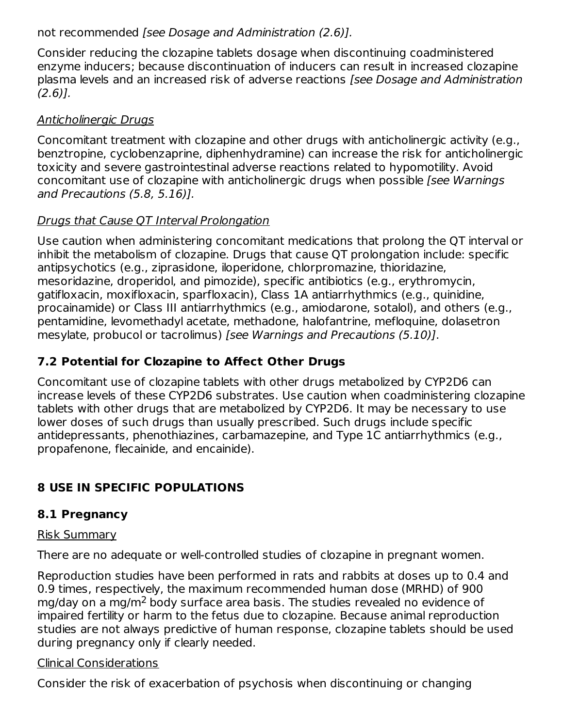### not recommended [see Dosage and Administration (2.6)].

Consider reducing the clozapine tablets dosage when discontinuing coadministered enzyme inducers; because discontinuation of inducers can result in increased clozapine plasma levels and an increased risk of adverse reactions [see Dosage and Administration (2.6)].

### Anticholinergic Drugs

Concomitant treatment with clozapine and other drugs with anticholinergic activity (e.g., benztropine, cyclobenzaprine, diphenhydramine) can increase the risk for anticholinergic toxicity and severe gastrointestinal adverse reactions related to hypomotility. Avoid concomitant use of clozapine with anticholinergic drugs when possible [see Warnings and Precautions (5.8, 5.16)].

### Drugs that Cause QT Interval Prolongation

Use caution when administering concomitant medications that prolong the QT interval or inhibit the metabolism of clozapine. Drugs that cause QT prolongation include: specific antipsychotics (e.g., ziprasidone, iloperidone, chlorpromazine, thioridazine, mesoridazine, droperidol, and pimozide), specific antibiotics (e.g., erythromycin, gatifloxacin, moxifloxacin, sparfloxacin), Class 1A antiarrhythmics (e.g., quinidine, procainamide) or Class III antiarrhythmics (e.g., amiodarone, sotalol), and others (e.g., pentamidine, levomethadyl acetate, methadone, halofantrine, mefloquine, dolasetron mesylate, probucol or tacrolimus) [see Warnings and Precautions (5.10)].

### **7.2 Potential for Clozapine to Affect Other Drugs**

Concomitant use of clozapine tablets with other drugs metabolized by CYP2D6 can increase levels of these CYP2D6 substrates. Use caution when coadministering clozapine tablets with other drugs that are metabolized by CYP2D6. It may be necessary to use lower doses of such drugs than usually prescribed. Such drugs include specific antidepressants, phenothiazines, carbamazepine, and Type 1C antiarrhythmics (e.g., propafenone, flecainide, and encainide).

## **8 USE IN SPECIFIC POPULATIONS**

### **8.1 Pregnancy**

### Risk Summary

There are no adequate or well-controlled studies of clozapine in pregnant women.

Reproduction studies have been performed in rats and rabbits at doses up to 0.4 and 0.9 times, respectively, the maximum recommended human dose (MRHD) of 900 mg/day on a mg/m<sup>2</sup> body surface area basis. The studies revealed no evidence of impaired fertility or harm to the fetus due to clozapine. Because animal reproduction studies are not always predictive of human response, clozapine tablets should be used during pregnancy only if clearly needed.

### Clinical Considerations

Consider the risk of exacerbation of psychosis when discontinuing or changing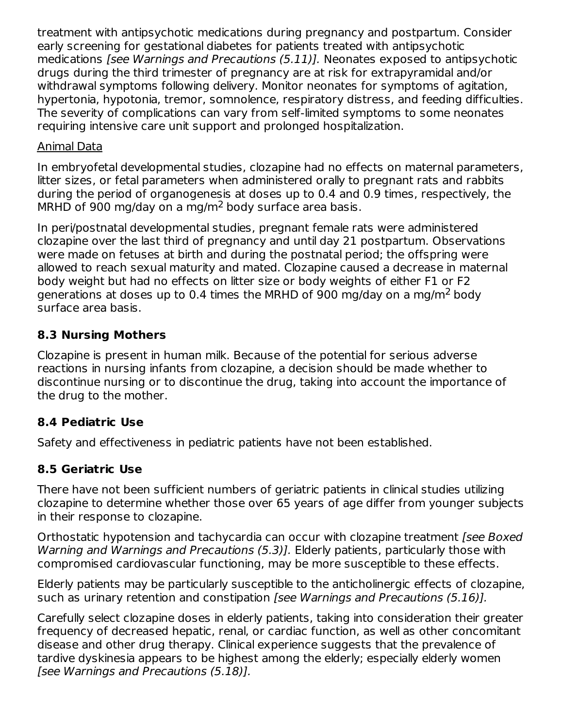treatment with antipsychotic medications during pregnancy and postpartum. Consider early screening for gestational diabetes for patients treated with antipsychotic medications [see Warnings and Precautions (5.11)]. Neonates exposed to antipsychotic drugs during the third trimester of pregnancy are at risk for extrapyramidal and/or withdrawal symptoms following delivery. Monitor neonates for symptoms of agitation, hypertonia, hypotonia, tremor, somnolence, respiratory distress, and feeding difficulties. The severity of complications can vary from self-limited symptoms to some neonates requiring intensive care unit support and prolonged hospitalization.

### Animal Data

In embryofetal developmental studies, clozapine had no effects on maternal parameters, litter sizes, or fetal parameters when administered orally to pregnant rats and rabbits during the period of organogenesis at doses up to 0.4 and 0.9 times, respectively, the MRHD of 900 mg/day on a mg/m<sup>2</sup> body surface area basis.

In peri/postnatal developmental studies, pregnant female rats were administered clozapine over the last third of pregnancy and until day 21 postpartum. Observations were made on fetuses at birth and during the postnatal period; the offspring were allowed to reach sexual maturity and mated. Clozapine caused a decrease in maternal body weight but had no effects on litter size or body weights of either F1 or F2 generations at doses up to 0.4 times the MRHD of 900 mg/day on a mg/m<sup>2</sup> body surface area basis.

### **8.3 Nursing Mothers**

Clozapine is present in human milk. Because of the potential for serious adverse reactions in nursing infants from clozapine, a decision should be made whether to discontinue nursing or to discontinue the drug, taking into account the importance of the drug to the mother.

### **8.4 Pediatric Use**

Safety and effectiveness in pediatric patients have not been established.

## **8.5 Geriatric Use**

There have not been sufficient numbers of geriatric patients in clinical studies utilizing clozapine to determine whether those over 65 years of age differ from younger subjects in their response to clozapine.

Orthostatic hypotension and tachycardia can occur with clozapine treatment [see Boxed Warning and Warnings and Precautions (5.3)]. Elderly patients, particularly those with compromised cardiovascular functioning, may be more susceptible to these effects.

Elderly patients may be particularly susceptible to the anticholinergic effects of clozapine, such as urinary retention and constipation [see Warnings and Precautions (5.16)].

Carefully select clozapine doses in elderly patients, taking into consideration their greater frequency of decreased hepatic, renal, or cardiac function, as well as other concomitant disease and other drug therapy. Clinical experience suggests that the prevalence of tardive dyskinesia appears to be highest among the elderly; especially elderly women [see Warnings and Precautions (5.18)].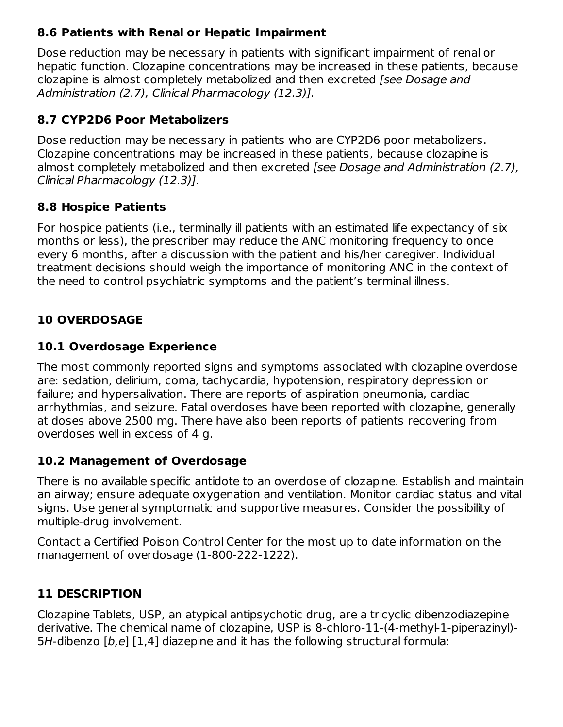### **8.6 Patients with Renal or Hepatic Impairment**

Dose reduction may be necessary in patients with significant impairment of renal or hepatic function. Clozapine concentrations may be increased in these patients, because clozapine is almost completely metabolized and then excreted [see Dosage and Administration (2.7), Clinical Pharmacology (12.3)].

### **8.7 CYP2D6 Poor Metabolizers**

Dose reduction may be necessary in patients who are CYP2D6 poor metabolizers. Clozapine concentrations may be increased in these patients, because clozapine is almost completely metabolized and then excreted [see Dosage and Administration (2.7), Clinical Pharmacology (12.3)].

### **8.8 Hospice Patients**

For hospice patients (i.e., terminally ill patients with an estimated life expectancy of six months or less), the prescriber may reduce the ANC monitoring frequency to once every 6 months, after a discussion with the patient and his/her caregiver. Individual treatment decisions should weigh the importance of monitoring ANC in the context of the need to control psychiatric symptoms and the patient's terminal illness.

## **10 OVERDOSAGE**

### **10.1 Overdosage Experience**

The most commonly reported signs and symptoms associated with clozapine overdose are: sedation, delirium, coma, tachycardia, hypotension, respiratory depression or failure; and hypersalivation. There are reports of aspiration pneumonia, cardiac arrhythmias, and seizure. Fatal overdoses have been reported with clozapine, generally at doses above 2500 mg. There have also been reports of patients recovering from overdoses well in excess of 4 g.

### **10.2 Management of Overdosage**

There is no available specific antidote to an overdose of clozapine. Establish and maintain an airway; ensure adequate oxygenation and ventilation. Monitor cardiac status and vital signs. Use general symptomatic and supportive measures. Consider the possibility of multiple-drug involvement.

Contact a Certified Poison Control Center for the most up to date information on the management of overdosage (1-800-222-1222).

### **11 DESCRIPTION**

Clozapine Tablets, USP, an atypical antipsychotic drug, are a tricyclic dibenzodiazepine derivative. The chemical name of clozapine, USP is 8-chloro-11-(4-methyl-1-piperazinyl)- 5H-dibenzo [b,e] [1,4] diazepine and it has the following structural formula: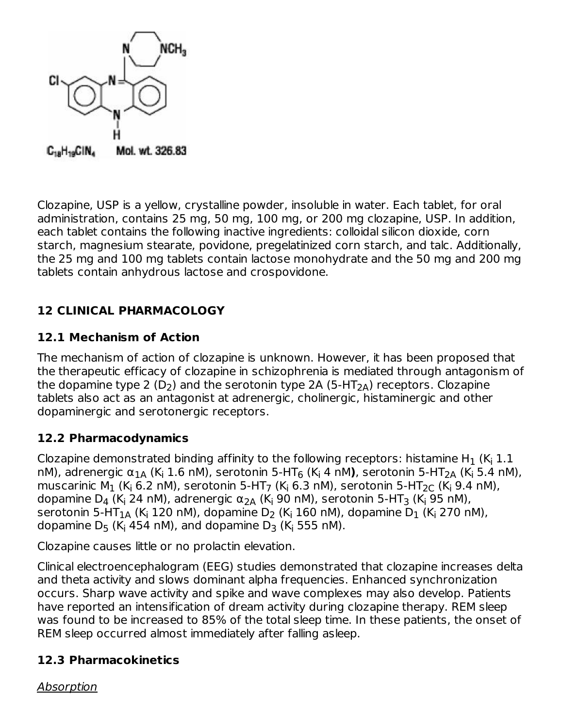

Clozapine, USP is a yellow, crystalline powder, insoluble in water. Each tablet, for oral administration, contains 25 mg, 50 mg, 100 mg, or 200 mg clozapine, USP. In addition, each tablet contains the following inactive ingredients: colloidal silicon dioxide, corn starch, magnesium stearate, povidone, pregelatinized corn starch, and talc. Additionally, the 25 mg and 100 mg tablets contain lactose monohydrate and the 50 mg and 200 mg tablets contain anhydrous lactose and crospovidone.

### **12 CLINICAL PHARMACOLOGY**

### **12.1 Mechanism of Action**

The mechanism of action of clozapine is unknown. However, it has been proposed that the therapeutic efficacy of clozapine in schizophrenia is mediated through antagonism of the dopamine type 2 (D<sub>2</sub>) and the serotonin type 2A (5-HT<sub>2A</sub>) receptors. Clozapine tablets also act as an antagonist at adrenergic, cholinergic, histaminergic and other dopaminergic and serotonergic receptors.

### **12.2 Pharmacodynamics**

Clozapine demonstrated binding affinity to the following receptors: histamine H $_1$  (K $_{\sf i}$  1.1  $\;$ nM), adrenergic α<sub>1Α</sub> (K<sub>i</sub> 1.6 nM), serotonin 5-HT<sub>6</sub> (K<sub>i</sub> 4 nM**)**, serotonin 5-HT<sub>2Α</sub> (K<sub>i</sub> 5.4 nM), muscarinic M $_1$  (K<sub>i</sub> 6.2 nM), serotonin 5-HT<sub>7</sub> (K<sub>i</sub> 6.3 nM), serotonin 5-HT $_{2 \text{C}}$  (K<sub>i</sub> 9.4 nM), dopamine D $_4$  (K<sub>i</sub> 24 nM), adrenergic  $\alpha_{\text{2A}}$  (K<sub>i</sub> 90 nM), serotonin 5-HT<sub>3</sub> (K<sub>i</sub> 95 nM), serotonin 5-HT $_{\rm 1A}$  (K<sub>i</sub> 120 nM), dopamine D<sub>2</sub> (K<sub>i</sub> 160 nM), dopamine D $_{\rm 1}$  (K<sub>i</sub> 270 nM), dopamine D $_5$  (K $_4$  454 nM), and dopamine D $_3$  (K $_4$  555 nM).

Clozapine causes little or no prolactin elevation.

Clinical electroencephalogram (EEG) studies demonstrated that clozapine increases delta and theta activity and slows dominant alpha frequencies. Enhanced synchronization occurs. Sharp wave activity and spike and wave complexes may also develop. Patients have reported an intensification of dream activity during clozapine therapy. REM sleep was found to be increased to 85% of the total sleep time. In these patients, the onset of REM sleep occurred almost immediately after falling asleep.

### **12.3 Pharmacokinetics**

Absorption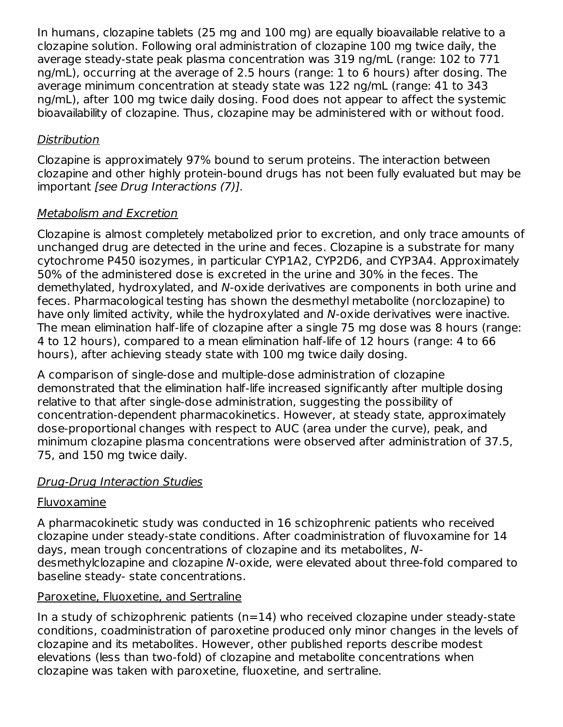In humans, clozapine tablets (25 mg and 100 mg) are equally bioavailable relative to a clozapine solution. Following oral administration of clozapine 100 mg twice daily, the average steady-state peak plasma concentration was 319 ng/mL (range: 102 to 771 ng/mL), occurring at the average of 2.5 hours (range: 1 to 6 hours) after dosing. The average minimum concentration at steady state was 122 ng/mL (range: 41 to 343 ng/mL), after 100 mg twice daily dosing. Food does not appear to affect the systemic bioavailability of clozapine. Thus, clozapine may be administered with or without food.

### Distribution

Clozapine is approximately 97% bound to serum proteins. The interaction between clozapine and other highly protein-bound drugs has not been fully evaluated but may be important [see Drug Interactions (7)].

### Metabolism and Excretion

Clozapine is almost completely metabolized prior to excretion, and only trace amounts of unchanged drug are detected in the urine and feces. Clozapine is a substrate for many cytochrome P450 isozymes, in particular CYP1A2, CYP2D6, and CYP3A4. Approximately 50% of the administered dose is excreted in the urine and 30% in the feces. The demethylated, hydroxylated, and N-oxide derivatives are components in both urine and feces. Pharmacological testing has shown the desmethyl metabolite (norclozapine) to have only limited activity, while the hydroxylated and N-oxide derivatives were inactive. The mean elimination half-life of clozapine after a single 75 mg dose was 8 hours (range: 4 to 12 hours), compared to a mean elimination half-life of 12 hours (range: 4 to 66 hours), after achieving steady state with 100 mg twice daily dosing.

A comparison of single-dose and multiple-dose administration of clozapine demonstrated that the elimination half-life increased significantly after multiple dosing relative to that after single-dose administration, suggesting the possibility of concentration-dependent pharmacokinetics. However, at steady state, approximately dose-proportional changes with respect to AUC (area under the curve), peak, and minimum clozapine plasma concentrations were observed after administration of 37.5, 75, and 150 mg twice daily.

## Drug-Drug Interaction Studies

### **Fluvoxamine**

A pharmacokinetic study was conducted in 16 schizophrenic patients who received clozapine under steady-state conditions. After coadministration of fluvoxamine for 14 days, mean trough concentrations of clozapine and its metabolites, Ndesmethylclozapine and clozapine N-oxide, were elevated about three-fold compared to baseline steady- state concentrations.

## Paroxetine, Fluoxetine, and Sertraline

In a study of schizophrenic patients  $(n=14)$  who received clozapine under steady-state conditions, coadministration of paroxetine produced only minor changes in the levels of clozapine and its metabolites. However, other published reports describe modest elevations (less than two-fold) of clozapine and metabolite concentrations when clozapine was taken with paroxetine, fluoxetine, and sertraline.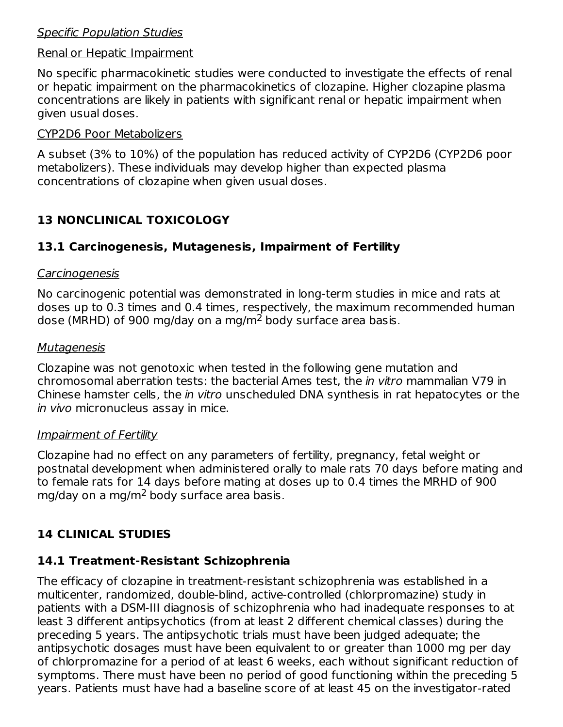### Specific Population Studies

### Renal or Hepatic Impairment

No specific pharmacokinetic studies were conducted to investigate the effects of renal or hepatic impairment on the pharmacokinetics of clozapine. Higher clozapine plasma concentrations are likely in patients with significant renal or hepatic impairment when given usual doses.

#### CYP2D6 Poor Metabolizers

A subset (3% to 10%) of the population has reduced activity of CYP2D6 (CYP2D6 poor metabolizers). These individuals may develop higher than expected plasma concentrations of clozapine when given usual doses.

## **13 NONCLINICAL TOXICOLOGY**

### **13.1 Carcinogenesis, Mutagenesis, Impairment of Fertility**

#### **Carcinogenesis**

No carcinogenic potential was demonstrated in long-term studies in mice and rats at doses up to 0.3 times and 0.4 times, respectively, the maximum recommended human dose (MRHD) of 900 mg/day on a mg/m<sup>2</sup> body surface area basis.

#### **Mutagenesis**

Clozapine was not genotoxic when tested in the following gene mutation and chromosomal aberration tests: the bacterial Ames test, the in vitro mammalian V79 in Chinese hamster cells, the in vitro unscheduled DNA synthesis in rat hepatocytes or the in vivo micronucleus assay in mice.

### Impairment of Fertility

Clozapine had no effect on any parameters of fertility, pregnancy, fetal weight or postnatal development when administered orally to male rats 70 days before mating and to female rats for 14 days before mating at doses up to 0.4 times the MRHD of 900 mg/day on a mg/m<sup>2</sup> body surface area basis.

## **14 CLINICAL STUDIES**

### **14.1 Treatment-Resistant Schizophrenia**

The efficacy of clozapine in treatment-resistant schizophrenia was established in a multicenter, randomized, double-blind, active-controlled (chlorpromazine) study in patients with a DSM-III diagnosis of schizophrenia who had inadequate responses to at least 3 different antipsychotics (from at least 2 different chemical classes) during the preceding 5 years. The antipsychotic trials must have been judged adequate; the antipsychotic dosages must have been equivalent to or greater than 1000 mg per day of chlorpromazine for a period of at least 6 weeks, each without significant reduction of symptoms. There must have been no period of good functioning within the preceding 5 years. Patients must have had a baseline score of at least 45 on the investigator-rated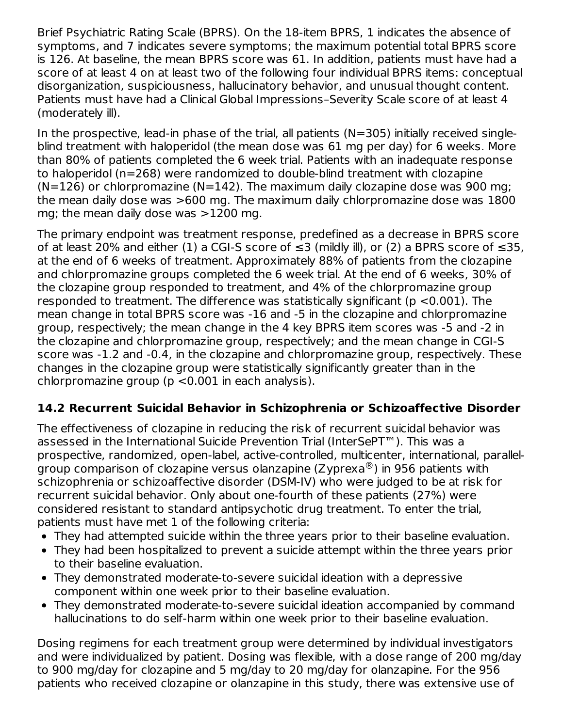Brief Psychiatric Rating Scale (BPRS). On the 18-item BPRS, 1 indicates the absence of symptoms, and 7 indicates severe symptoms; the maximum potential total BPRS score is 126. At baseline, the mean BPRS score was 61. In addition, patients must have had a score of at least 4 on at least two of the following four individual BPRS items: conceptual disorganization, suspiciousness, hallucinatory behavior, and unusual thought content. Patients must have had a Clinical Global Impressions–Severity Scale score of at least 4 (moderately ill).

In the prospective, lead-in phase of the trial, all patients (N=305) initially received singleblind treatment with haloperidol (the mean dose was 61 mg per day) for 6 weeks. More than 80% of patients completed the 6 week trial. Patients with an inadequate response to haloperidol (n=268) were randomized to double-blind treatment with clozapine  $(N=126)$  or chlorpromazine  $(N=142)$ . The maximum daily clozapine dose was 900 mg; the mean daily dose was >600 mg. The maximum daily chlorpromazine dose was 1800 mg; the mean daily dose was >1200 mg.

The primary endpoint was treatment response, predefined as a decrease in BPRS score of at least 20% and either (1) a CGI-S score of  $\leq$ 3 (mildly ill), or (2) a BPRS score of  $\leq$ 35, at the end of 6 weeks of treatment. Approximately 88% of patients from the clozapine and chlorpromazine groups completed the 6 week trial. At the end of 6 weeks, 30% of the clozapine group responded to treatment, and 4% of the chlorpromazine group responded to treatment. The difference was statistically significant (p <0.001). The mean change in total BPRS score was -16 and -5 in the clozapine and chlorpromazine group, respectively; the mean change in the 4 key BPRS item scores was -5 and -2 in the clozapine and chlorpromazine group, respectively; and the mean change in CGI-S score was -1.2 and -0.4, in the clozapine and chlorpromazine group, respectively. These changes in the clozapine group were statistically significantly greater than in the chlorpromazine group (p <0.001 in each analysis).

## **14.2 Recurrent Suicidal Behavior in Schizophrenia or Schizoaffective Disorder**

The effectiveness of clozapine in reducing the risk of recurrent suicidal behavior was assessed in the International Suicide Prevention Trial (InterSePT™). This was a prospective, randomized, open-label, active-controlled, multicenter, international, parallelgroup comparison of clozapine versus olanzapine (Zyprexa®) in 956 patients with schizophrenia or schizoaffective disorder (DSM-IV) who were judged to be at risk for recurrent suicidal behavior. Only about one-fourth of these patients (27%) were considered resistant to standard antipsychotic drug treatment. To enter the trial, patients must have met 1 of the following criteria:

- They had attempted suicide within the three years prior to their baseline evaluation.
- They had been hospitalized to prevent a suicide attempt within the three years prior to their baseline evaluation.
- They demonstrated moderate-to-severe suicidal ideation with a depressive component within one week prior to their baseline evaluation.
- They demonstrated moderate-to-severe suicidal ideation accompanied by command hallucinations to do self-harm within one week prior to their baseline evaluation.

Dosing regimens for each treatment group were determined by individual investigators and were individualized by patient. Dosing was flexible, with a dose range of 200 mg/day to 900 mg/day for clozapine and 5 mg/day to 20 mg/day for olanzapine. For the 956 patients who received clozapine or olanzapine in this study, there was extensive use of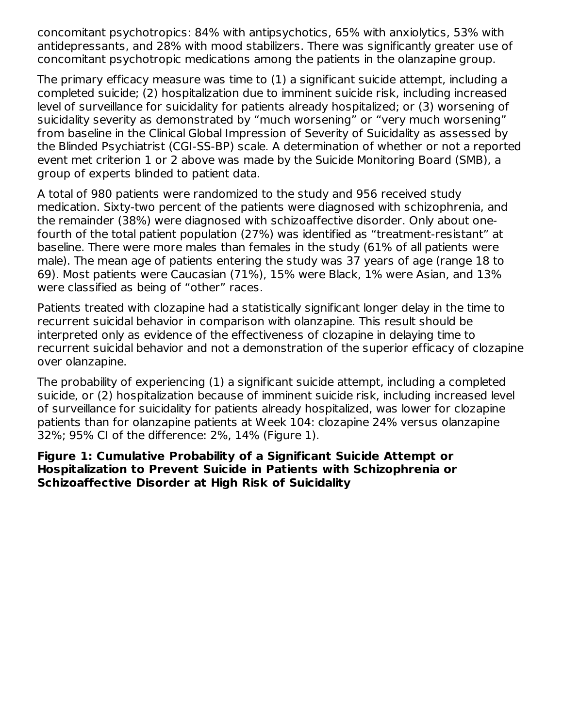concomitant psychotropics: 84% with antipsychotics, 65% with anxiolytics, 53% with antidepressants, and 28% with mood stabilizers. There was significantly greater use of concomitant psychotropic medications among the patients in the olanzapine group.

The primary efficacy measure was time to (1) a significant suicide attempt, including a completed suicide; (2) hospitalization due to imminent suicide risk, including increased level of surveillance for suicidality for patients already hospitalized; or (3) worsening of suicidality severity as demonstrated by "much worsening" or "very much worsening" from baseline in the Clinical Global Impression of Severity of Suicidality as assessed by the Blinded Psychiatrist (CGI-SS-BP) scale. A determination of whether or not a reported event met criterion 1 or 2 above was made by the Suicide Monitoring Board (SMB), a group of experts blinded to patient data.

A total of 980 patients were randomized to the study and 956 received study medication. Sixty-two percent of the patients were diagnosed with schizophrenia, and the remainder (38%) were diagnosed with schizoaffective disorder. Only about onefourth of the total patient population (27%) was identified as "treatment-resistant" at baseline. There were more males than females in the study (61% of all patients were male). The mean age of patients entering the study was 37 years of age (range 18 to 69). Most patients were Caucasian (71%), 15% were Black, 1% were Asian, and 13% were classified as being of "other" races.

Patients treated with clozapine had a statistically significant longer delay in the time to recurrent suicidal behavior in comparison with olanzapine. This result should be interpreted only as evidence of the effectiveness of clozapine in delaying time to recurrent suicidal behavior and not a demonstration of the superior efficacy of clozapine over olanzapine.

The probability of experiencing (1) a significant suicide attempt, including a completed suicide, or (2) hospitalization because of imminent suicide risk, including increased level of surveillance for suicidality for patients already hospitalized, was lower for clozapine patients than for olanzapine patients at Week 104: clozapine 24% versus olanzapine 32%; 95% CI of the difference: 2%, 14% (Figure 1).

#### **Figure 1: Cumulative Probability of a Significant Suicide Attempt or Hospitalization to Prevent Suicide in Patients with Schizophrenia or Schizoaffective Disorder at High Risk of Suicidality**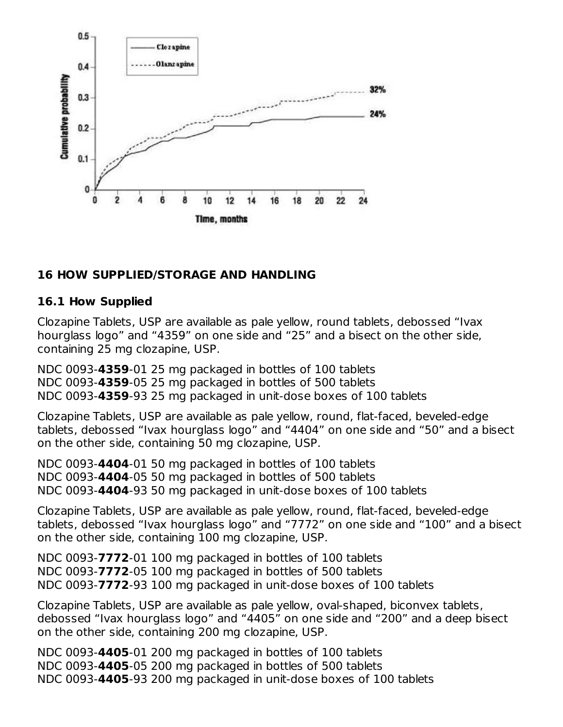

#### **16 HOW SUPPLIED/STORAGE AND HANDLING**

#### **16.1 How Supplied**

Clozapine Tablets, USP are available as pale yellow, round tablets, debossed "Ivax hourglass logo" and "4359" on one side and "25" and a bisect on the other side, containing 25 mg clozapine, USP.

NDC 0093-**4359**-01 25 mg packaged in bottles of 100 tablets NDC 0093-**4359**-05 25 mg packaged in bottles of 500 tablets NDC 0093-**4359**-93 25 mg packaged in unit-dose boxes of 100 tablets

Clozapine Tablets, USP are available as pale yellow, round, flat-faced, beveled-edge tablets, debossed "Ivax hourglass logo" and "4404" on one side and "50" and a bisect on the other side, containing 50 mg clozapine, USP.

NDC 0093-**4404**-01 50 mg packaged in bottles of 100 tablets NDC 0093-**4404**-05 50 mg packaged in bottles of 500 tablets NDC 0093-**4404**-93 50 mg packaged in unit-dose boxes of 100 tablets

Clozapine Tablets, USP are available as pale yellow, round, flat-faced, beveled-edge tablets, debossed "Ivax hourglass logo" and "7772" on one side and "100" and a bisect on the other side, containing 100 mg clozapine, USP.

NDC 0093-**7772**-01 100 mg packaged in bottles of 100 tablets NDC 0093-**7772**-05 100 mg packaged in bottles of 500 tablets NDC 0093-**7772**-93 100 mg packaged in unit-dose boxes of 100 tablets

Clozapine Tablets, USP are available as pale yellow, oval-shaped, biconvex tablets, debossed "Ivax hourglass logo" and "4405" on one side and "200" and a deep bisect on the other side, containing 200 mg clozapine, USP.

NDC 0093-**4405**-01 200 mg packaged in bottles of 100 tablets NDC 0093-**4405**-05 200 mg packaged in bottles of 500 tablets NDC 0093-**4405**-93 200 mg packaged in unit-dose boxes of 100 tablets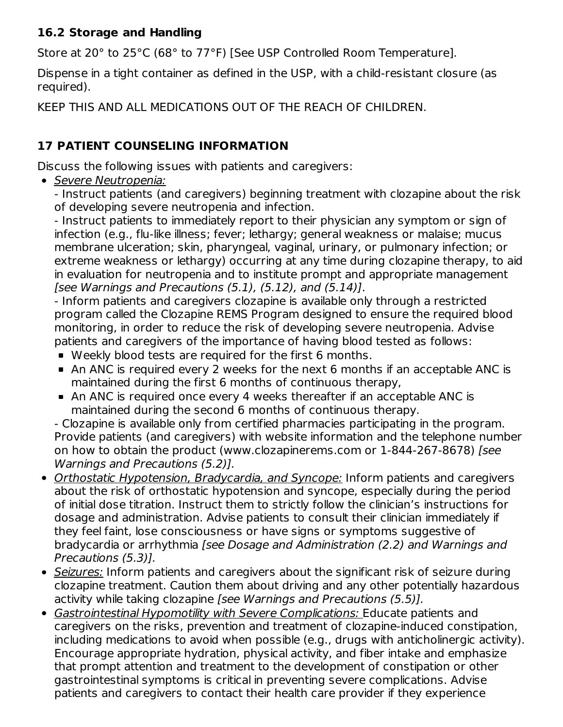### **16.2 Storage and Handling**

Store at 20° to 25°C (68° to 77°F) [See USP Controlled Room Temperature].

Dispense in a tight container as defined in the USP, with a child-resistant closure (as required).

KEEP THIS AND ALL MEDICATIONS OUT OF THE REACH OF CHILDREN.

## **17 PATIENT COUNSELING INFORMATION**

Discuss the following issues with patients and caregivers:

- Severe Neutropenia:
	- Instruct patients (and caregivers) beginning treatment with clozapine about the risk of developing severe neutropenia and infection.

- Instruct patients to immediately report to their physician any symptom or sign of infection (e.g., flu-like illness; fever; lethargy; general weakness or malaise; mucus membrane ulceration; skin, pharyngeal, vaginal, urinary, or pulmonary infection; or extreme weakness or lethargy) occurring at any time during clozapine therapy, to aid in evaluation for neutropenia and to institute prompt and appropriate management [see Warnings and Precautions  $(5.1)$ ,  $(5.12)$ , and  $(5.14)$ ].

- Inform patients and caregivers clozapine is available only through a restricted program called the Clozapine REMS Program designed to ensure the required blood monitoring, in order to reduce the risk of developing severe neutropenia. Advise patients and caregivers of the importance of having blood tested as follows:

- Weekly blood tests are required for the first 6 months.
- An ANC is required every 2 weeks for the next 6 months if an acceptable ANC is maintained during the first 6 months of continuous therapy,
- An ANC is required once every 4 weeks thereafter if an acceptable ANC is maintained during the second 6 months of continuous therapy.

- Clozapine is available only from certified pharmacies participating in the program. Provide patients (and caregivers) with website information and the telephone number on how to obtain the product (www.clozapinerems.com or 1-844-267-8678) [see Warnings and Precautions (5.2)].

- Orthostatic Hypotension, Bradycardia, and Syncope: Inform patients and caregivers about the risk of orthostatic hypotension and syncope, especially during the period of initial dose titration. Instruct them to strictly follow the clinician's instructions for dosage and administration. Advise patients to consult their clinician immediately if they feel faint, lose consciousness or have signs or symptoms suggestive of bradycardia or arrhythmia [see Dosage and Administration (2.2) and Warnings and Precautions (5.3)].
- Seizures: Inform patients and caregivers about the significant risk of seizure during clozapine treatment. Caution them about driving and any other potentially hazardous activity while taking clozapine [see Warnings and Precautions (5.5)].
- Gastrointestinal Hypomotility with Severe Complications: Educate patients and caregivers on the risks, prevention and treatment of clozapine-induced constipation, including medications to avoid when possible (e.g., drugs with anticholinergic activity). Encourage appropriate hydration, physical activity, and fiber intake and emphasize that prompt attention and treatment to the development of constipation or other gastrointestinal symptoms is critical in preventing severe complications. Advise patients and caregivers to contact their health care provider if they experience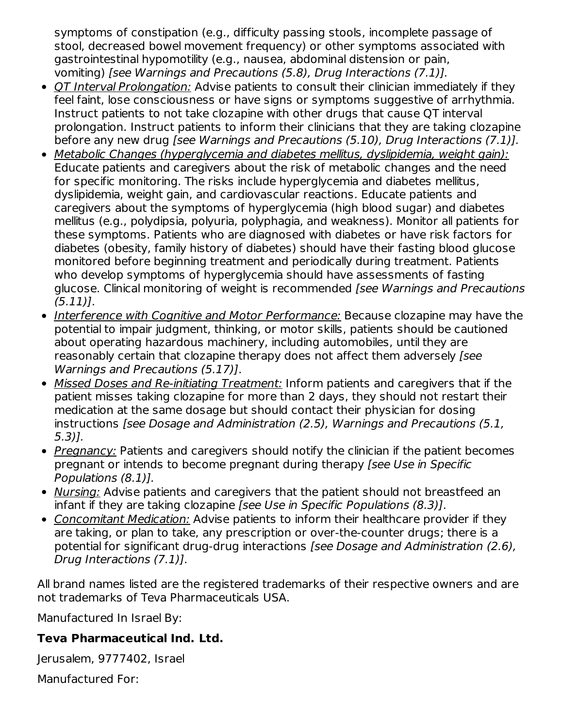symptoms of constipation (e.g., difficulty passing stools, incomplete passage of stool, decreased bowel movement frequency) or other symptoms associated with gastrointestinal hypomotility (e.g., nausea, abdominal distension or pain, vomiting) [see Warnings and Precautions (5.8), Drug Interactions (7.1)].

- OT Interval Prolongation: Advise patients to consult their clinician immediately if they feel faint, lose consciousness or have signs or symptoms suggestive of arrhythmia. Instruct patients to not take clozapine with other drugs that cause QT interval prolongation. Instruct patients to inform their clinicians that they are taking clozapine before any new drug [see Warnings and Precautions (5.10), Drug Interactions (7.1)].
- Metabolic Changes (hyperglycemia and diabetes mellitus, dyslipidemia, weight gain): Educate patients and caregivers about the risk of metabolic changes and the need for specific monitoring. The risks include hyperglycemia and diabetes mellitus, dyslipidemia, weight gain, and cardiovascular reactions. Educate patients and caregivers about the symptoms of hyperglycemia (high blood sugar) and diabetes mellitus (e.g., polydipsia, polyuria, polyphagia, and weakness). Monitor all patients for these symptoms. Patients who are diagnosed with diabetes or have risk factors for diabetes (obesity, family history of diabetes) should have their fasting blood glucose monitored before beginning treatment and periodically during treatment. Patients who develop symptoms of hyperglycemia should have assessments of fasting glucose. Clinical monitoring of weight is recommended [see Warnings and Precautions (5.11)].
- Interference with Cognitive and Motor Performance: Because clozapine may have the potential to impair judgment, thinking, or motor skills, patients should be cautioned about operating hazardous machinery, including automobiles, until they are reasonably certain that clozapine therapy does not affect them adversely [see Warnings and Precautions (5.17)].
- Missed Doses and Re-initiating Treatment: Inform patients and caregivers that if the patient misses taking clozapine for more than 2 days, they should not restart their medication at the same dosage but should contact their physician for dosing instructions [see Dosage and Administration (2.5), Warnings and Precautions (5.1, 5.3)].
- Pregnancy: Patients and caregivers should notify the clinician if the patient becomes pregnant or intends to become pregnant during therapy [see Use in Specific Populations (8.1)].
- Nursing: Advise patients and caregivers that the patient should not breastfeed an infant if they are taking clozapine [see Use in Specific Populations (8.3)].
- Concomitant Medication: Advise patients to inform their healthcare provider if they are taking, or plan to take, any prescription or over-the-counter drugs; there is a potential for significant drug-drug interactions [see Dosage and Administration (2.6), Drug Interactions (7.1)].

All brand names listed are the registered trademarks of their respective owners and are not trademarks of Teva Pharmaceuticals USA.

Manufactured In Israel By:

### **Teva Pharmaceutical Ind. Ltd.**

Jerusalem, 9777402, Israel

Manufactured For: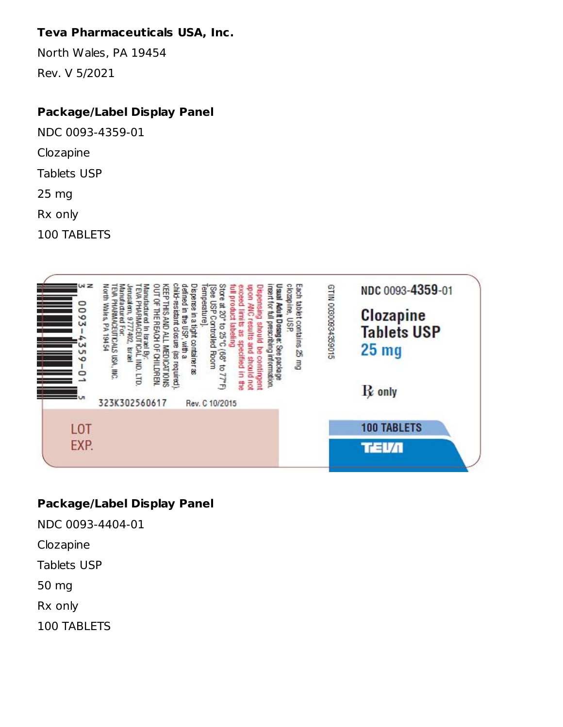### **Teva Pharmaceuticals USA, Inc.**

North Wales, PA 19454 Rev. V 5/2021

### **Package/Label Display Panel**

NDC 0093-4359-01

Clozapine

Tablets USP

25 mg

Rx only

100 TABLETS



## **Package/Label Display Panel**

NDC 0093-4404-01

Clozapine

Tablets USP

50 mg

Rx only

100 TABLETS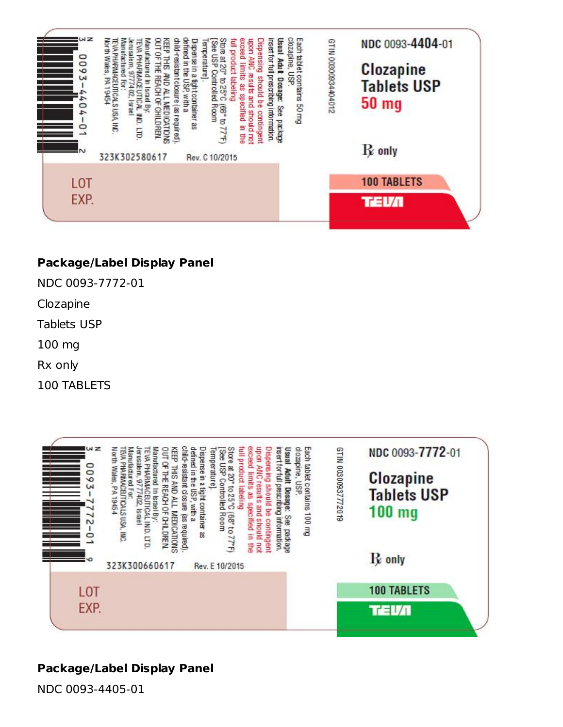

### **Package/Label Display Panel**

NDC 0093-7772-01

Clozapine

Tablets USP

100 mg

Rx only

100 TABLETS



## **Package/Label Display Panel**

NDC 0093-4405-01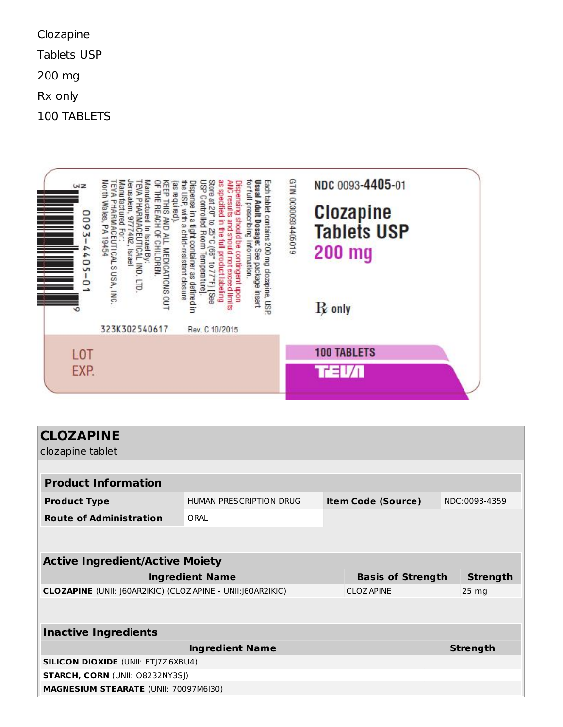Clozapine Tablets USP 200 mg Rx only 100 TABLETS



| <b>CLOZAPINE</b>                                            |                                |                           |                 |  |  |
|-------------------------------------------------------------|--------------------------------|---------------------------|-----------------|--|--|
| clozapine tablet                                            |                                |                           |                 |  |  |
|                                                             |                                |                           |                 |  |  |
| <b>Product Information</b>                                  |                                |                           |                 |  |  |
| <b>Product Type</b>                                         | <b>HUMAN PRESCRIPTION DRUG</b> | <b>Item Code (Source)</b> | NDC:0093-4359   |  |  |
| <b>Route of Administration</b>                              | ORAL                           |                           |                 |  |  |
|                                                             |                                |                           |                 |  |  |
| <b>Active Ingredient/Active Moiety</b>                      |                                |                           |                 |  |  |
|                                                             | <b>Ingredient Name</b>         | <b>Basis of Strength</b>  | <b>Strength</b> |  |  |
| CLOZAPINE (UNII: J60AR2IKIC) (CLOZAPINE - UNII: J60AR2IKIC) |                                | <b>CLOZ APINE</b>         | $25 \text{ mg}$ |  |  |
|                                                             |                                |                           |                 |  |  |
| <b>Inactive Ingredients</b>                                 |                                |                           |                 |  |  |
|                                                             | <b>Ingredient Name</b>         |                           | <b>Strength</b> |  |  |
| <b>SILICON DIOXIDE (UNII: ETJ7Z6XBU4)</b>                   |                                |                           |                 |  |  |
| <b>STARCH, CORN (UNII: O8232NY3SJ)</b>                      |                                |                           |                 |  |  |
| MAGNESIUM STEARATE (UNII: 70097M6I30)                       |                                |                           |                 |  |  |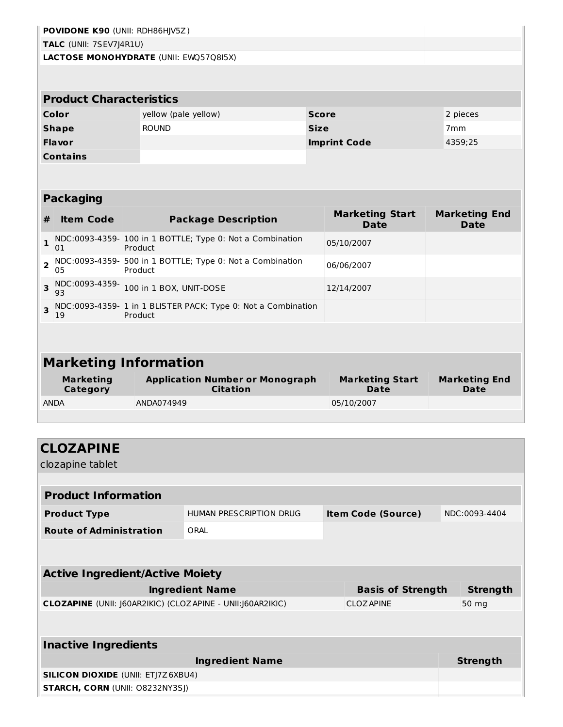| <b>POVIDONE K90 (UNII: RDH86HJV5Z)</b>                                              |                                |                                                                      |              |                                       |                                     |
|-------------------------------------------------------------------------------------|--------------------------------|----------------------------------------------------------------------|--------------|---------------------------------------|-------------------------------------|
| TALC (UNII: 7SEV7J4R1U)                                                             |                                |                                                                      |              |                                       |                                     |
|                                                                                     |                                | <b>LACTOSE MONOHYDRATE (UNII: EWQ57Q8I5X)</b>                        |              |                                       |                                     |
|                                                                                     |                                |                                                                      |              |                                       |                                     |
|                                                                                     | <b>Product Characteristics</b> |                                                                      |              |                                       |                                     |
|                                                                                     | Color                          | yellow (pale yellow)                                                 | <b>Score</b> |                                       | 2 pieces                            |
|                                                                                     | <b>Shape</b>                   | <b>ROUND</b>                                                         | <b>Size</b>  |                                       | 7 <sub>mm</sub>                     |
|                                                                                     | Flavor                         |                                                                      |              | <b>Imprint Code</b>                   | 4359;25                             |
|                                                                                     | <b>Contains</b>                |                                                                      |              |                                       |                                     |
|                                                                                     |                                |                                                                      |              |                                       |                                     |
|                                                                                     |                                |                                                                      |              |                                       |                                     |
|                                                                                     | <b>Packaging</b>               |                                                                      |              |                                       |                                     |
| #                                                                                   | <b>Item Code</b>               | <b>Package Description</b>                                           |              | <b>Marketing Start</b><br><b>Date</b> | <b>Marketing End</b><br><b>Date</b> |
| 1                                                                                   | 01                             | NDC:0093-4359- 100 in 1 BOTTLE; Type 0: Not a Combination<br>Product |              | 05/10/2007                            |                                     |
| $\overline{\mathbf{2}}$                                                             | 05                             | NDC:0093-4359- 500 in 1 BOTTLE; Type 0: Not a Combination<br>Product |              | 06/06/2007                            |                                     |
| 3                                                                                   | NDC:0093-4359-<br>93           | 100 in 1 BOX, UNIT-DOSE                                              |              | 12/14/2007                            |                                     |
| NDC:0093-4359- 1 in 1 BLISTER PACK; Type 0: Not a Combination<br>3<br>Product<br>19 |                                |                                                                      |              |                                       |                                     |
|                                                                                     |                                |                                                                      |              |                                       |                                     |
|                                                                                     |                                |                                                                      |              |                                       |                                     |
|                                                                                     |                                | <b>Marketing Information</b>                                         |              |                                       |                                     |
|                                                                                     | <b>Marketing</b><br>Category   | <b>Application Number or Monograph</b><br><b>Citation</b>            |              | <b>Marketing Start</b><br><b>Date</b> | <b>Marketing End</b><br><b>Date</b> |

| Category    | Citation   | -----------------<br>Date | --------------<br>Date |
|-------------|------------|---------------------------|------------------------|
| <b>ANDA</b> | ANDA074949 | 05/10/2007                |                        |
|             |            |                           |                        |

| <b>CLOZAPINE</b>                                            |                         |                           |                 |
|-------------------------------------------------------------|-------------------------|---------------------------|-----------------|
| clozapine tablet                                            |                         |                           |                 |
|                                                             |                         |                           |                 |
| <b>Product Information</b>                                  |                         |                           |                 |
| <b>Product Type</b>                                         | HUMAN PRESCRIPTION DRUG | <b>Item Code (Source)</b> | NDC:0093-4404   |
| <b>Route of Administration</b>                              | ORAL                    |                           |                 |
|                                                             |                         |                           |                 |
| <b>Active Ingredient/Active Moiety</b>                      |                         |                           |                 |
|                                                             |                         |                           |                 |
|                                                             | <b>Ingredient Name</b>  | <b>Basis of Strength</b>  | <b>Strength</b> |
| CLOZAPINE (UNII: J60AR2IKIC) (CLOZAPINE - UNII: J60AR2IKIC) |                         | <b>CLOZ APINE</b>         | 50 mg           |
|                                                             |                         |                           |                 |
| <b>Inactive Ingredients</b>                                 |                         |                           |                 |
|                                                             | <b>Ingredient Name</b>  |                           | <b>Strength</b> |
| <b>SILICON DIOXIDE (UNII: ETJ7Z6XBU4)</b>                   |                         |                           |                 |
| <b>STARCH, CORN (UNII: O8232NY3SJ)</b>                      |                         |                           |                 |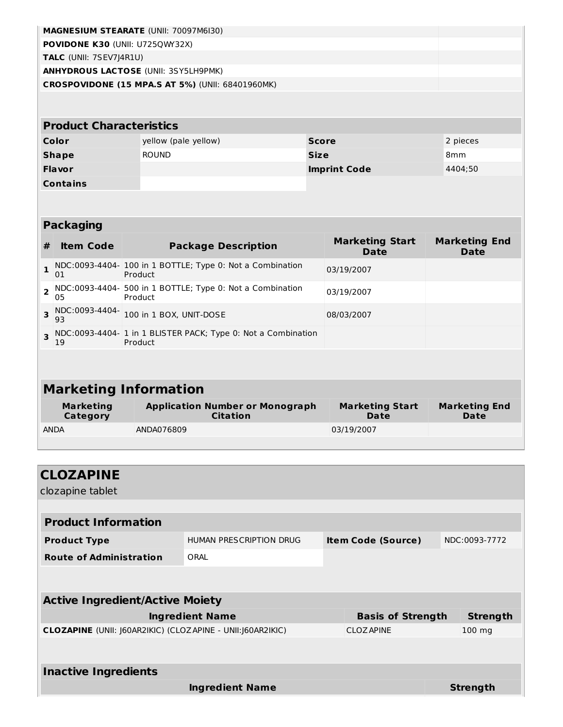| MAGNESIUM STEARATE (UNII: 70097M6I30)       |                                                         |                     |                 |
|---------------------------------------------|---------------------------------------------------------|---------------------|-----------------|
| <b>POVIDONE K30 (UNII: U725QWY32X)</b>      |                                                         |                     |                 |
| TALC (UNII: 7SEV7J4R1U)                     |                                                         |                     |                 |
| <b>ANHYDROUS LACTOSE (UNII: 3SY5LH9PMK)</b> |                                                         |                     |                 |
|                                             | <b>CROSPOVIDONE (15 MPA.S AT 5%) (UNII: 68401960MK)</b> |                     |                 |
|                                             |                                                         |                     |                 |
|                                             |                                                         |                     |                 |
| <b>Product Characteristics</b>              |                                                         |                     |                 |
| Color                                       | yellow (pale yellow)                                    | <b>Score</b>        | 2 pieces        |
| <b>Shape</b>                                | <b>ROUND</b>                                            | <b>Size</b>         | 8 <sub>mm</sub> |
| <b>Flavor</b>                               |                                                         | <b>Imprint Code</b> | 4404;50         |
| <b>Contains</b>                             |                                                         |                     |                 |
|                                             |                                                         |                     |                 |

## **Packaging**

| #                       | <b>Item Code</b>             | <b>Package Description</b>                                               | <b>Marketing Start</b><br>Date | <b>Marketing End</b><br>Date |  |  |
|-------------------------|------------------------------|--------------------------------------------------------------------------|--------------------------------|------------------------------|--|--|
|                         | 01                           | NDC:0093-4404- 100 in 1 BOTTLE; Type 0: Not a Combination<br>Product     | 03/19/2007                     |                              |  |  |
|                         | 05                           | NDC:0093-4404- 500 in 1 BOTTLE; Type 0: Not a Combination<br>Product     | 03/19/2007                     |                              |  |  |
| $\overline{\mathbf{3}}$ | NDC:0093-4404-<br>93         | 100 in 1 BOX, UNIT-DOSE                                                  | 08/03/2007                     |                              |  |  |
|                         | 19                           | NDC:0093-4404- 1 in 1 BLISTER PACK; Type 0: Not a Combination<br>Product |                                |                              |  |  |
|                         |                              |                                                                          |                                |                              |  |  |
|                         | <b>Marketing Information</b> |                                                                          |                                |                              |  |  |

| <b>Marketing</b><br>Category | <b>Application Number or Monograph</b><br>Citation | <b>Marketing Start</b><br>Date | <b>Marketing End</b><br>Date |  |
|------------------------------|----------------------------------------------------|--------------------------------|------------------------------|--|
| <b>ANDA</b>                  | ANDA076809                                         | 03/19/2007                     |                              |  |
|                              |                                                    |                                |                              |  |

| <b>Item Code (Source)</b> | NDC:0093-7772   |
|---------------------------|-----------------|
|                           |                 |
|                           |                 |
|                           |                 |
| <b>Basis of Strength</b>  | <b>Strength</b> |
| <b>CLOZ APINE</b>         | $100$ mg        |
|                           |                 |
|                           |                 |
|                           | Strength        |
|                           |                 |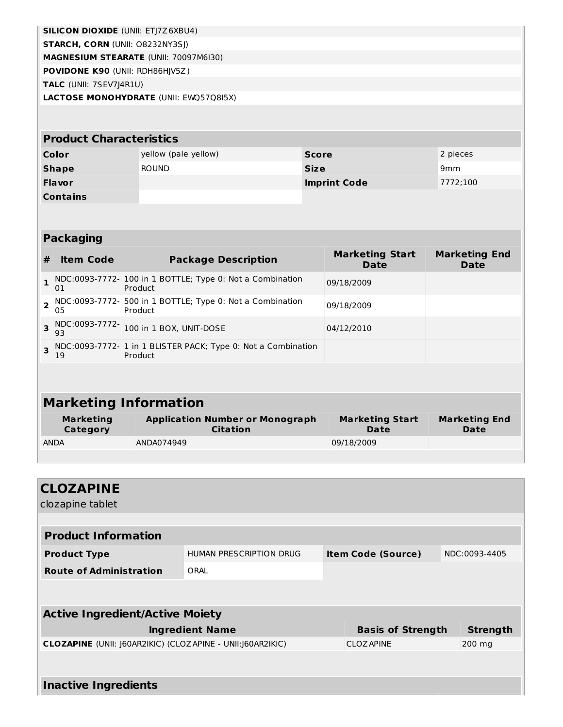| <b>SILICON DIOXIDE (UNII: ETJ7Z6XBU4)</b>     |  |
|-----------------------------------------------|--|
| <b>STARCH, CORN (UNII: 08232NY3SI)</b>        |  |
| <b>MAGNESIUM STEARATE (UNII: 70097M6I30)</b>  |  |
| <b>POVIDONE K90 (UNII: RDH86HJV5Z)</b>        |  |
| <b>TALC</b> (UNII: 7SEV7 4R1U)                |  |
| <b>LACTOSE MONOHYDRATE (UNII: EWQ57Q8I5X)</b> |  |
|                                               |  |

### **Product Characteristics**

| Color           | yellow (pale yellow) | <b>Score</b>        | 2 pieces        |
|-----------------|----------------------|---------------------|-----------------|
| Shape           | <b>ROUND</b>         | <b>Size</b>         | 9 <sub>mm</sub> |
| <b>Flavor</b>   |                      | <b>Imprint Code</b> | 7772;100        |
| <b>Contains</b> |                      |                     |                 |

## **Packaging**

| #            | <b>Item Code</b>       | <b>Package Description</b>                                                | <b>Marketing Start</b><br>Date | <b>Marketing End</b><br><b>Date</b> |
|--------------|------------------------|---------------------------------------------------------------------------|--------------------------------|-------------------------------------|
| $\mathbf{1}$ | 01                     | NDC:0093-7772- 100 in 1 BOTTLE; Type 0: Not a Combination<br>Product      | 09/18/2009                     |                                     |
|              | -05                    | $2$ NDC:0093-7772- 500 in 1 BOTTLE; Type 0: Not a Combination<br>Product  | 09/18/2009                     |                                     |
|              | 3 NDC:0093-7772-<br>93 | 100 in 1 BOX, UNIT-DOSE                                                   | 04/12/2010                     |                                     |
|              | 19                     | 3 NDC:0093-7772-1 in 1 BLISTER PACK; Type 0: Not a Combination<br>Product |                                |                                     |
|              |                        |                                                                           |                                |                                     |

# **Marketing Information**

| Marketing   | <b>Application Number or Monograph</b> | <b>Marketing Start</b> | <b>Marketing End</b> |
|-------------|----------------------------------------|------------------------|----------------------|
| Category    | <b>Citation</b>                        | Date                   | Date                 |
| <b>ANDA</b> | ANDA074949                             | 09/18/2009             |                      |

| <b>CLOZAPINE</b><br>clozapine tablet                               |                         |                           |                 |
|--------------------------------------------------------------------|-------------------------|---------------------------|-----------------|
|                                                                    |                         |                           |                 |
| <b>Product Information</b>                                         |                         |                           |                 |
| <b>Product Type</b>                                                | HUMAN PRESCRIPTION DRUG | <b>Item Code (Source)</b> | NDC:0093-4405   |
| <b>Route of Administration</b>                                     | ORAL                    |                           |                 |
|                                                                    |                         |                           |                 |
| <b>Active Ingredient/Active Moiety</b>                             |                         |                           |                 |
|                                                                    | <b>Ingredient Name</b>  | <b>Basis of Strength</b>  | <b>Strength</b> |
| <b>CLOZAPINE</b> (UNII: J60AR2IKIC) (CLOZAPINE - UNII: J60AR2IKIC) | <b>CLOZAPINE</b>        | 200 mg                    |                 |
|                                                                    |                         |                           |                 |
| <b>Inactive Ingredients</b>                                        |                         |                           |                 |